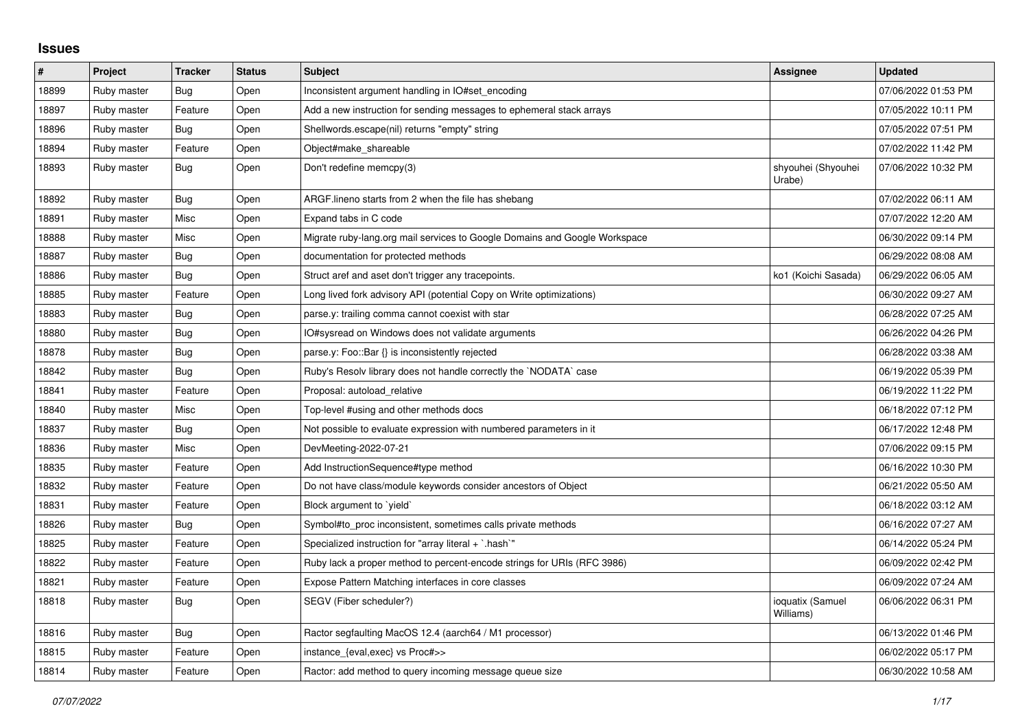## **Issues**

| $\pmb{\#}$ | Project     | <b>Tracker</b> | <b>Status</b> | <b>Subject</b>                                                             | <b>Assignee</b>               | <b>Updated</b>      |
|------------|-------------|----------------|---------------|----------------------------------------------------------------------------|-------------------------------|---------------------|
| 18899      | Ruby master | Bug            | Open          | Inconsistent argument handling in IO#set encoding                          |                               | 07/06/2022 01:53 PM |
| 18897      | Ruby master | Feature        | Open          | Add a new instruction for sending messages to ephemeral stack arrays       |                               | 07/05/2022 10:11 PM |
| 18896      | Ruby master | Bug            | Open          | Shellwords.escape(nil) returns "empty" string                              |                               | 07/05/2022 07:51 PM |
| 18894      | Ruby master | Feature        | Open          | Object#make_shareable                                                      |                               | 07/02/2022 11:42 PM |
| 18893      | Ruby master | Bug            | Open          | Don't redefine memcpy(3)                                                   | shyouhei (Shyouhei<br>Urabe)  | 07/06/2022 10:32 PM |
| 18892      | Ruby master | <b>Bug</b>     | Open          | ARGF lineno starts from 2 when the file has shebang                        |                               | 07/02/2022 06:11 AM |
| 18891      | Ruby master | Misc           | Open          | Expand tabs in C code                                                      |                               | 07/07/2022 12:20 AM |
| 18888      | Ruby master | Misc           | Open          | Migrate ruby-lang.org mail services to Google Domains and Google Workspace |                               | 06/30/2022 09:14 PM |
| 18887      | Ruby master | Bug            | Open          | documentation for protected methods                                        |                               | 06/29/2022 08:08 AM |
| 18886      | Ruby master | Bug            | Open          | Struct aref and aset don't trigger any tracepoints.                        | ko1 (Koichi Sasada)           | 06/29/2022 06:05 AM |
| 18885      | Ruby master | Feature        | Open          | Long lived fork advisory API (potential Copy on Write optimizations)       |                               | 06/30/2022 09:27 AM |
| 18883      | Ruby master | Bug            | Open          | parse.y: trailing comma cannot coexist with star                           |                               | 06/28/2022 07:25 AM |
| 18880      | Ruby master | <b>Bug</b>     | Open          | IO#sysread on Windows does not validate arguments                          |                               | 06/26/2022 04:26 PM |
| 18878      | Ruby master | <b>Bug</b>     | Open          | parse.y: Foo::Bar {} is inconsistently rejected                            |                               | 06/28/2022 03:38 AM |
| 18842      | Ruby master | Bug            | Open          | Ruby's Resolv library does not handle correctly the `NODATA` case          |                               | 06/19/2022 05:39 PM |
| 18841      | Ruby master | Feature        | Open          | Proposal: autoload relative                                                |                               | 06/19/2022 11:22 PM |
| 18840      | Ruby master | Misc           | Open          | Top-level #using and other methods docs                                    |                               | 06/18/2022 07:12 PM |
| 18837      | Ruby master | <b>Bug</b>     | Open          | Not possible to evaluate expression with numbered parameters in it         |                               | 06/17/2022 12:48 PM |
| 18836      | Ruby master | Misc           | Open          | DevMeeting-2022-07-21                                                      |                               | 07/06/2022 09:15 PM |
| 18835      | Ruby master | Feature        | Open          | Add InstructionSequence#type method                                        |                               | 06/16/2022 10:30 PM |
| 18832      | Ruby master | Feature        | Open          | Do not have class/module keywords consider ancestors of Object             |                               | 06/21/2022 05:50 AM |
| 18831      | Ruby master | Feature        | Open          | Block argument to 'yield'                                                  |                               | 06/18/2022 03:12 AM |
| 18826      | Ruby master | Bug            | Open          | Symbol#to_proc inconsistent, sometimes calls private methods               |                               | 06/16/2022 07:27 AM |
| 18825      | Ruby master | Feature        | Open          | Specialized instruction for "array literal + `.hash`"                      |                               | 06/14/2022 05:24 PM |
| 18822      | Ruby master | Feature        | Open          | Ruby lack a proper method to percent-encode strings for URIs (RFC 3986)    |                               | 06/09/2022 02:42 PM |
| 18821      | Ruby master | Feature        | Open          | Expose Pattern Matching interfaces in core classes                         |                               | 06/09/2022 07:24 AM |
| 18818      | Ruby master | <b>Bug</b>     | Open          | SEGV (Fiber scheduler?)                                                    | ioquatix (Samuel<br>Williams) | 06/06/2022 06:31 PM |
| 18816      | Ruby master | Bug            | Open          | Ractor segfaulting MacOS 12.4 (aarch64 / M1 processor)                     |                               | 06/13/2022 01:46 PM |
| 18815      | Ruby master | Feature        | Open          | instance_{eval,exec} vs Proc#>>                                            |                               | 06/02/2022 05:17 PM |
| 18814      | Ruby master | Feature        | Open          | Ractor: add method to query incoming message queue size                    |                               | 06/30/2022 10:58 AM |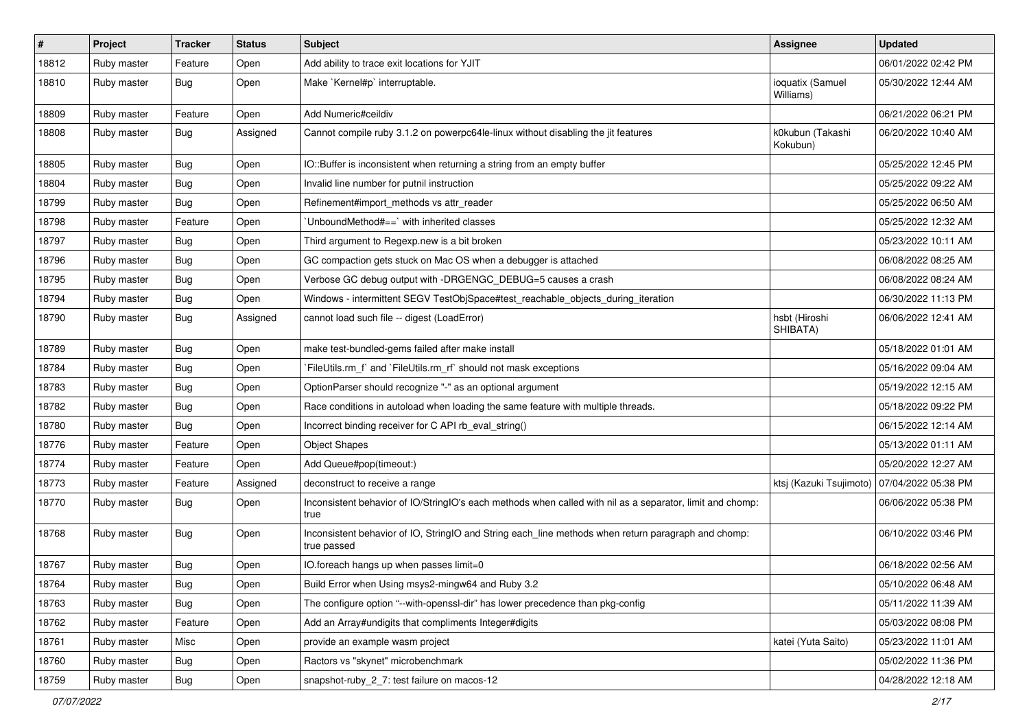| $\pmb{\#}$ | Project     | <b>Tracker</b> | <b>Status</b> | <b>Subject</b>                                                                                                     | <b>Assignee</b>                               | <b>Updated</b>      |
|------------|-------------|----------------|---------------|--------------------------------------------------------------------------------------------------------------------|-----------------------------------------------|---------------------|
| 18812      | Ruby master | Feature        | Open          | Add ability to trace exit locations for YJIT                                                                       |                                               | 06/01/2022 02:42 PM |
| 18810      | Ruby master | <b>Bug</b>     | Open          | Make `Kernel#p` interruptable.                                                                                     | ioquatix (Samuel<br>Williams)                 | 05/30/2022 12:44 AM |
| 18809      | Ruby master | Feature        | Open          | Add Numeric#ceildiv                                                                                                |                                               | 06/21/2022 06:21 PM |
| 18808      | Ruby master | <b>Bug</b>     | Assigned      | Cannot compile ruby 3.1.2 on powerpc64le-linux without disabling the jit features                                  | k0kubun (Takashi<br>Kokubun)                  | 06/20/2022 10:40 AM |
| 18805      | Ruby master | <b>Bug</b>     | Open          | IO::Buffer is inconsistent when returning a string from an empty buffer                                            |                                               | 05/25/2022 12:45 PM |
| 18804      | Ruby master | <b>Bug</b>     | Open          | Invalid line number for putnil instruction                                                                         |                                               | 05/25/2022 09:22 AM |
| 18799      | Ruby master | <b>Bug</b>     | Open          | Refinement#import_methods vs attr_reader                                                                           |                                               | 05/25/2022 06:50 AM |
| 18798      | Ruby master | Feature        | Open          | 'UnboundMethod#==' with inherited classes                                                                          |                                               | 05/25/2022 12:32 AM |
| 18797      | Ruby master | <b>Bug</b>     | Open          | Third argument to Regexp.new is a bit broken                                                                       |                                               | 05/23/2022 10:11 AM |
| 18796      | Ruby master | <b>Bug</b>     | Open          | GC compaction gets stuck on Mac OS when a debugger is attached                                                     |                                               | 06/08/2022 08:25 AM |
| 18795      | Ruby master | <b>Bug</b>     | Open          | Verbose GC debug output with -DRGENGC_DEBUG=5 causes a crash                                                       |                                               | 06/08/2022 08:24 AM |
| 18794      | Ruby master | <b>Bug</b>     | Open          | Windows - intermittent SEGV TestObjSpace#test_reachable_objects_during_iteration                                   |                                               | 06/30/2022 11:13 PM |
| 18790      | Ruby master | <b>Bug</b>     | Assigned      | cannot load such file -- digest (LoadError)                                                                        | hsbt (Hiroshi<br>SHIBATA)                     | 06/06/2022 12:41 AM |
| 18789      | Ruby master | <b>Bug</b>     | Open          | make test-bundled-gems failed after make install                                                                   |                                               | 05/18/2022 01:01 AM |
| 18784      | Ruby master | <b>Bug</b>     | Open          | `FileUtils.rm_f` and `FileUtils.rm_rf` should not mask exceptions                                                  |                                               | 05/16/2022 09:04 AM |
| 18783      | Ruby master | <b>Bug</b>     | Open          | OptionParser should recognize "-" as an optional argument                                                          |                                               | 05/19/2022 12:15 AM |
| 18782      | Ruby master | <b>Bug</b>     | Open          | Race conditions in autoload when loading the same feature with multiple threads.                                   |                                               | 05/18/2022 09:22 PM |
| 18780      | Ruby master | <b>Bug</b>     | Open          | Incorrect binding receiver for C API rb_eval_string()                                                              |                                               | 06/15/2022 12:14 AM |
| 18776      | Ruby master | Feature        | Open          | <b>Object Shapes</b>                                                                                               |                                               | 05/13/2022 01:11 AM |
| 18774      | Ruby master | Feature        | Open          | Add Queue#pop(timeout:)                                                                                            |                                               | 05/20/2022 12:27 AM |
| 18773      | Ruby master | Feature        | Assigned      | deconstruct to receive a range                                                                                     | ktsj (Kazuki Tsujimoto)   07/04/2022 05:38 PM |                     |
| 18770      | Ruby master | Bug            | Open          | Inconsistent behavior of IO/StringIO's each methods when called with nil as a separator, limit and chomp:<br>true  |                                               | 06/06/2022 05:38 PM |
| 18768      | Ruby master | <b>Bug</b>     | Open          | Inconsistent behavior of IO, StringIO and String each_line methods when return paragraph and chomp:<br>true passed |                                               | 06/10/2022 03:46 PM |
| 18767      | Ruby master | <b>Bug</b>     | Open          | IO.foreach hangs up when passes limit=0                                                                            |                                               | 06/18/2022 02:56 AM |
| 18764      | Ruby master | Bug            | Open          | Build Error when Using msys2-mingw64 and Ruby 3.2                                                                  |                                               | 05/10/2022 06:48 AM |
| 18763      | Ruby master | <b>Bug</b>     | Open          | The configure option "--with-openssl-dir" has lower precedence than pkg-config                                     |                                               | 05/11/2022 11:39 AM |
| 18762      | Ruby master | Feature        | Open          | Add an Array#undigits that compliments Integer#digits                                                              |                                               | 05/03/2022 08:08 PM |
| 18761      | Ruby master | Misc           | Open          | provide an example wasm project                                                                                    | katei (Yuta Saito)                            | 05/23/2022 11:01 AM |
| 18760      | Ruby master | <b>Bug</b>     | Open          | Ractors vs "skynet" microbenchmark                                                                                 |                                               | 05/02/2022 11:36 PM |
| 18759      | Ruby master | <b>Bug</b>     | Open          | snapshot-ruby_2_7: test failure on macos-12                                                                        |                                               | 04/28/2022 12:18 AM |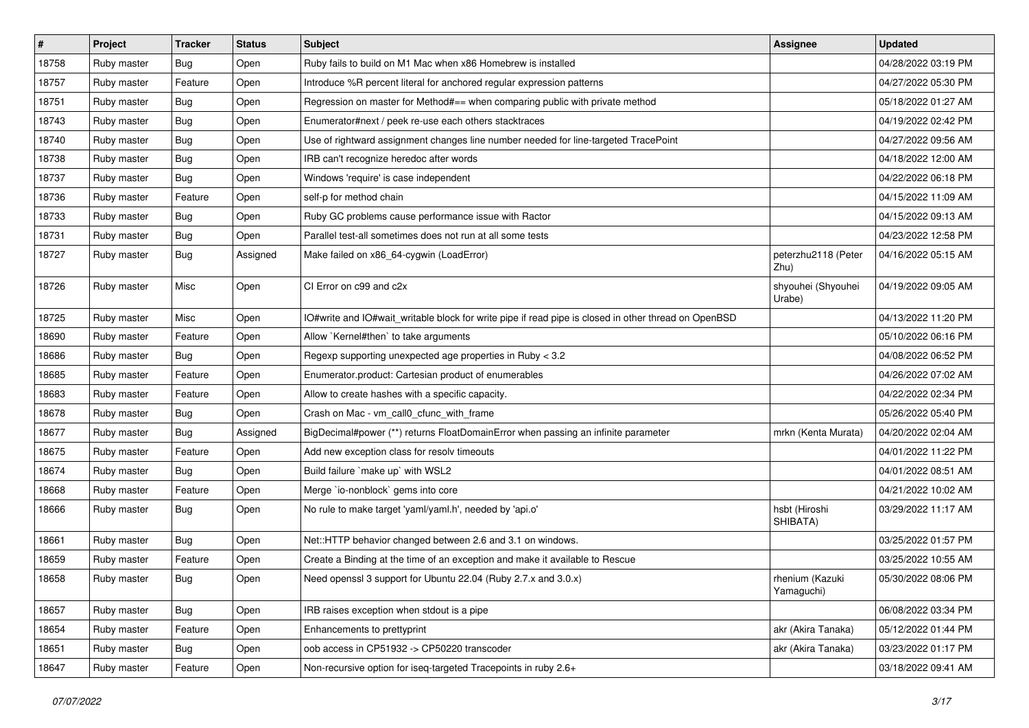| #     | Project     | <b>Tracker</b> | <b>Status</b> | <b>Subject</b>                                                                                       | <b>Assignee</b>               | <b>Updated</b>      |
|-------|-------------|----------------|---------------|------------------------------------------------------------------------------------------------------|-------------------------------|---------------------|
| 18758 | Ruby master | Bug            | Open          | Ruby fails to build on M1 Mac when x86 Homebrew is installed                                         |                               | 04/28/2022 03:19 PM |
| 18757 | Ruby master | Feature        | Open          | Introduce %R percent literal for anchored regular expression patterns                                |                               | 04/27/2022 05:30 PM |
| 18751 | Ruby master | <b>Bug</b>     | Open          | Regression on master for Method#== when comparing public with private method                         |                               | 05/18/2022 01:27 AM |
| 18743 | Ruby master | <b>Bug</b>     | Open          | Enumerator#next / peek re-use each others stacktraces                                                |                               | 04/19/2022 02:42 PM |
| 18740 | Ruby master | <b>Bug</b>     | Open          | Use of rightward assignment changes line number needed for line-targeted TracePoint                  |                               | 04/27/2022 09:56 AM |
| 18738 | Ruby master | Bug            | Open          | IRB can't recognize heredoc after words                                                              |                               | 04/18/2022 12:00 AM |
| 18737 | Ruby master | Bug            | Open          | Windows 'require' is case independent                                                                |                               | 04/22/2022 06:18 PM |
| 18736 | Ruby master | Feature        | Open          | self-p for method chain                                                                              |                               | 04/15/2022 11:09 AM |
| 18733 | Ruby master | Bug            | Open          | Ruby GC problems cause performance issue with Ractor                                                 |                               | 04/15/2022 09:13 AM |
| 18731 | Ruby master | Bug            | Open          | Parallel test-all sometimes does not run at all some tests                                           |                               | 04/23/2022 12:58 PM |
| 18727 | Ruby master | Bug            | Assigned      | Make failed on x86_64-cygwin (LoadError)                                                             | peterzhu2118 (Peter<br>Zhu)   | 04/16/2022 05:15 AM |
| 18726 | Ruby master | Misc           | Open          | CI Error on c99 and c2x                                                                              | shyouhei (Shyouhei<br>Urabe)  | 04/19/2022 09:05 AM |
| 18725 | Ruby master | Misc           | Open          | IO#write and IO#wait_writable block for write pipe if read pipe is closed in other thread on OpenBSD |                               | 04/13/2022 11:20 PM |
| 18690 | Ruby master | Feature        | Open          | Allow `Kernel#then` to take arguments                                                                |                               | 05/10/2022 06:16 PM |
| 18686 | Ruby master | Bug            | Open          | Regexp supporting unexpected age properties in Ruby < 3.2                                            |                               | 04/08/2022 06:52 PM |
| 18685 | Ruby master | Feature        | Open          | Enumerator.product: Cartesian product of enumerables                                                 |                               | 04/26/2022 07:02 AM |
| 18683 | Ruby master | Feature        | Open          | Allow to create hashes with a specific capacity.                                                     |                               | 04/22/2022 02:34 PM |
| 18678 | Ruby master | Bug            | Open          | Crash on Mac - vm_call0_cfunc_with_frame                                                             |                               | 05/26/2022 05:40 PM |
| 18677 | Ruby master | <b>Bug</b>     | Assigned      | BigDecimal#power (**) returns FloatDomainError when passing an infinite parameter                    | mrkn (Kenta Murata)           | 04/20/2022 02:04 AM |
| 18675 | Ruby master | Feature        | Open          | Add new exception class for resolv timeouts                                                          |                               | 04/01/2022 11:22 PM |
| 18674 | Ruby master | Bug            | Open          | Build failure `make up` with WSL2                                                                    |                               | 04/01/2022 08:51 AM |
| 18668 | Ruby master | Feature        | Open          | Merge `io-nonblock` gems into core                                                                   |                               | 04/21/2022 10:02 AM |
| 18666 | Ruby master | Bug            | Open          | No rule to make target 'yaml/yaml.h', needed by 'api.o'                                              | hsbt (Hiroshi<br>SHIBATA)     | 03/29/2022 11:17 AM |
| 18661 | Ruby master | Bug            | Open          | Net::HTTP behavior changed between 2.6 and 3.1 on windows.                                           |                               | 03/25/2022 01:57 PM |
| 18659 | Ruby master | Feature        | Open          | Create a Binding at the time of an exception and make it available to Rescue                         |                               | 03/25/2022 10:55 AM |
| 18658 | Ruby master | Bug            | Open          | Need openssl 3 support for Ubuntu 22.04 (Ruby 2.7.x and 3.0.x)                                       | rhenium (Kazuki<br>Yamaguchi) | 05/30/2022 08:06 PM |
| 18657 | Ruby master | Bug            | Open          | IRB raises exception when stdout is a pipe                                                           |                               | 06/08/2022 03:34 PM |
| 18654 | Ruby master | Feature        | Open          | Enhancements to prettyprint                                                                          | akr (Akira Tanaka)            | 05/12/2022 01:44 PM |
| 18651 | Ruby master | <b>Bug</b>     | Open          | oob access in CP51932 -> CP50220 transcoder                                                          | akr (Akira Tanaka)            | 03/23/2022 01:17 PM |
| 18647 | Ruby master | Feature        | Open          | Non-recursive option for iseq-targeted Tracepoints in ruby 2.6+                                      |                               | 03/18/2022 09:41 AM |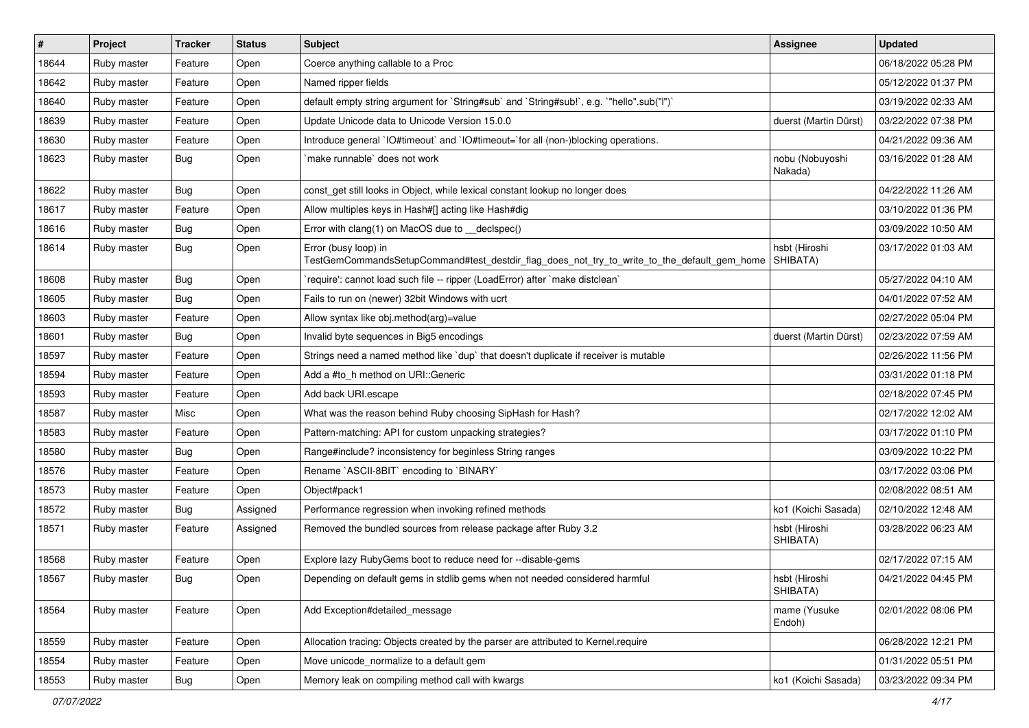| $\vert$ # | Project     | <b>Tracker</b> | <b>Status</b> | Subject                                                                                                             | <b>Assignee</b>            | <b>Updated</b>      |
|-----------|-------------|----------------|---------------|---------------------------------------------------------------------------------------------------------------------|----------------------------|---------------------|
| 18644     | Ruby master | Feature        | Open          | Coerce anything callable to a Proc                                                                                  |                            | 06/18/2022 05:28 PM |
| 18642     | Ruby master | Feature        | Open          | Named ripper fields                                                                                                 |                            | 05/12/2022 01:37 PM |
| 18640     | Ruby master | Feature        | Open          | default empty string argument for `String#sub` and `String#sub!`, e.g. `"hello".sub("I")`                           |                            | 03/19/2022 02:33 AM |
| 18639     | Ruby master | Feature        | Open          | Update Unicode data to Unicode Version 15.0.0                                                                       | duerst (Martin Dürst)      | 03/22/2022 07:38 PM |
| 18630     | Ruby master | Feature        | Open          | Introduce general `IO#timeout` and `IO#timeout=`for all (non-)blocking operations.                                  |                            | 04/21/2022 09:36 AM |
| 18623     | Ruby master | Bug            | Open          | make runnable' does not work                                                                                        | nobu (Nobuyoshi<br>Nakada) | 03/16/2022 01:28 AM |
| 18622     | Ruby master | <b>Bug</b>     | Open          | const get still looks in Object, while lexical constant lookup no longer does                                       |                            | 04/22/2022 11:26 AM |
| 18617     | Ruby master | Feature        | Open          | Allow multiples keys in Hash#[] acting like Hash#dig                                                                |                            | 03/10/2022 01:36 PM |
| 18616     | Ruby master | <b>Bug</b>     | Open          | Error with clang(1) on MacOS due to _declspec()                                                                     |                            | 03/09/2022 10:50 AM |
| 18614     | Ruby master | Bug            | Open          | Error (busy loop) in<br>TestGemCommandsSetupCommand#test_destdir_flag_does_not_try_to_write_to_the_default_gem_home | hsbt (Hiroshi<br>SHIBATA)  | 03/17/2022 01:03 AM |
| 18608     | Ruby master | Bug            | Open          | 'require': cannot load such file -- ripper (LoadError) after 'make distclean'                                       |                            | 05/27/2022 04:10 AM |
| 18605     | Ruby master | Bug            | Open          | Fails to run on (newer) 32bit Windows with ucrt                                                                     |                            | 04/01/2022 07:52 AM |
| 18603     | Ruby master | Feature        | Open          | Allow syntax like obj.method(arg)=value                                                                             |                            | 02/27/2022 05:04 PM |
| 18601     | Ruby master | <b>Bug</b>     | Open          | Invalid byte sequences in Big5 encodings                                                                            | duerst (Martin Dürst)      | 02/23/2022 07:59 AM |
| 18597     | Ruby master | Feature        | Open          | Strings need a named method like 'dup' that doesn't duplicate if receiver is mutable                                |                            | 02/26/2022 11:56 PM |
| 18594     | Ruby master | Feature        | Open          | Add a #to_h method on URI::Generic                                                                                  |                            | 03/31/2022 01:18 PM |
| 18593     | Ruby master | Feature        | Open          | Add back URI.escape                                                                                                 |                            | 02/18/2022 07:45 PM |
| 18587     | Ruby master | Misc           | Open          | What was the reason behind Ruby choosing SipHash for Hash?                                                          |                            | 02/17/2022 12:02 AM |
| 18583     | Ruby master | Feature        | Open          | Pattern-matching: API for custom unpacking strategies?                                                              |                            | 03/17/2022 01:10 PM |
| 18580     | Ruby master | <b>Bug</b>     | Open          | Range#include? inconsistency for beginless String ranges                                                            |                            | 03/09/2022 10:22 PM |
| 18576     | Ruby master | Feature        | Open          | Rename `ASCII-8BIT` encoding to `BINARY`                                                                            |                            | 03/17/2022 03:06 PM |
| 18573     | Ruby master | Feature        | Open          | Object#pack1                                                                                                        |                            | 02/08/2022 08:51 AM |
| 18572     | Ruby master | Bug            | Assigned      | Performance regression when invoking refined methods                                                                | ko1 (Koichi Sasada)        | 02/10/2022 12:48 AM |
| 18571     | Ruby master | Feature        | Assigned      | Removed the bundled sources from release package after Ruby 3.2                                                     | hsbt (Hiroshi<br>SHIBATA)  | 03/28/2022 06:23 AM |
| 18568     | Ruby master | Feature        | Open          | Explore lazy RubyGems boot to reduce need for --disable-gems                                                        |                            | 02/17/2022 07:15 AM |
| 18567     | Ruby master | Bug            | Open          | Depending on default gems in stdlib gems when not needed considered harmful                                         | hsbt (Hiroshi<br>SHIBATA)  | 04/21/2022 04:45 PM |
| 18564     | Ruby master | Feature        | Open          | Add Exception#detailed_message                                                                                      | mame (Yusuke<br>Endoh)     | 02/01/2022 08:06 PM |
| 18559     | Ruby master | Feature        | Open          | Allocation tracing: Objects created by the parser are attributed to Kernel.require                                  |                            | 06/28/2022 12:21 PM |
| 18554     | Ruby master | Feature        | Open          | Move unicode normalize to a default gem                                                                             |                            | 01/31/2022 05:51 PM |
| 18553     | Ruby master | <b>Bug</b>     | Open          | Memory leak on compiling method call with kwargs                                                                    | ko1 (Koichi Sasada)        | 03/23/2022 09:34 PM |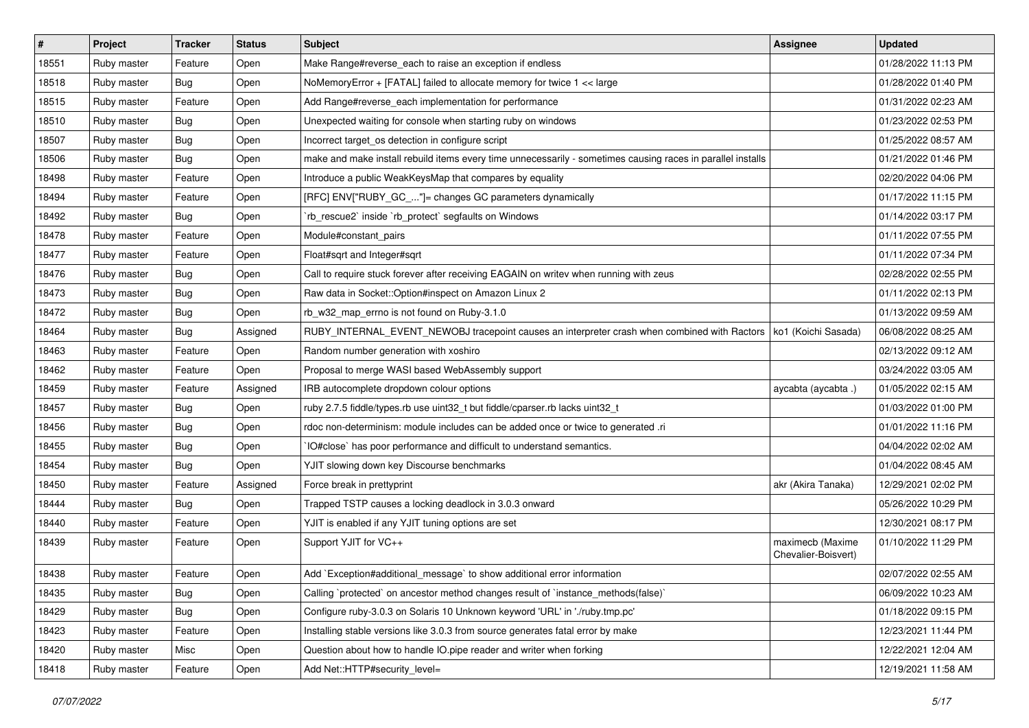| #     | Project     | <b>Tracker</b> | <b>Status</b> | Subject                                                                                                     | Assignee                                | <b>Updated</b>      |
|-------|-------------|----------------|---------------|-------------------------------------------------------------------------------------------------------------|-----------------------------------------|---------------------|
| 18551 | Ruby master | Feature        | Open          | Make Range#reverse_each to raise an exception if endless                                                    |                                         | 01/28/2022 11:13 PM |
| 18518 | Ruby master | Bug            | Open          | NoMemoryError + [FATAL] failed to allocate memory for twice 1 << large                                      |                                         | 01/28/2022 01:40 PM |
| 18515 | Ruby master | Feature        | Open          | Add Range#reverse_each implementation for performance                                                       |                                         | 01/31/2022 02:23 AM |
| 18510 | Ruby master | Bug            | Open          | Unexpected waiting for console when starting ruby on windows                                                |                                         | 01/23/2022 02:53 PM |
| 18507 | Ruby master | <b>Bug</b>     | Open          | Incorrect target_os detection in configure script                                                           |                                         | 01/25/2022 08:57 AM |
| 18506 | Ruby master | Bug            | Open          | make and make install rebuild items every time unnecessarily - sometimes causing races in parallel installs |                                         | 01/21/2022 01:46 PM |
| 18498 | Ruby master | Feature        | Open          | Introduce a public WeakKeysMap that compares by equality                                                    |                                         | 02/20/2022 04:06 PM |
| 18494 | Ruby master | Feature        | Open          | [RFC] ENV["RUBY_GC_"]= changes GC parameters dynamically                                                    |                                         | 01/17/2022 11:15 PM |
| 18492 | Ruby master | Bug            | Open          | `rb_rescue2` inside `rb_protect` segfaults on Windows                                                       |                                         | 01/14/2022 03:17 PM |
| 18478 | Ruby master | Feature        | Open          | Module#constant_pairs                                                                                       |                                         | 01/11/2022 07:55 PM |
| 18477 | Ruby master | Feature        | Open          | Float#sqrt and Integer#sqrt                                                                                 |                                         | 01/11/2022 07:34 PM |
| 18476 | Ruby master | Bug            | Open          | Call to require stuck forever after receiving EAGAIN on writev when running with zeus                       |                                         | 02/28/2022 02:55 PM |
| 18473 | Ruby master | Bug            | Open          | Raw data in Socket::Option#inspect on Amazon Linux 2                                                        |                                         | 01/11/2022 02:13 PM |
| 18472 | Ruby master | Bug            | Open          | rb_w32_map_errno is not found on Ruby-3.1.0                                                                 |                                         | 01/13/2022 09:59 AM |
| 18464 | Ruby master | Bug            | Assigned      | RUBY_INTERNAL_EVENT_NEWOBJ tracepoint causes an interpreter crash when combined with Ractors                | ko1 (Koichi Sasada)                     | 06/08/2022 08:25 AM |
| 18463 | Ruby master | Feature        | Open          | Random number generation with xoshiro                                                                       |                                         | 02/13/2022 09:12 AM |
| 18462 | Ruby master | Feature        | Open          | Proposal to merge WASI based WebAssembly support                                                            |                                         | 03/24/2022 03:05 AM |
| 18459 | Ruby master | Feature        | Assigned      | IRB autocomplete dropdown colour options                                                                    | aycabta (aycabta.)                      | 01/05/2022 02:15 AM |
| 18457 | Ruby master | <b>Bug</b>     | Open          | ruby 2.7.5 fiddle/types.rb use uint32_t but fiddle/cparser.rb lacks uint32_t                                |                                         | 01/03/2022 01:00 PM |
| 18456 | Ruby master | <b>Bug</b>     | Open          | rdoc non-determinism: module includes can be added once or twice to generated .ri                           |                                         | 01/01/2022 11:16 PM |
| 18455 | Ruby master | Bug            | Open          | IO#close` has poor performance and difficult to understand semantics.                                       |                                         | 04/04/2022 02:02 AM |
| 18454 | Ruby master | Bug            | Open          | YJIT slowing down key Discourse benchmarks                                                                  |                                         | 01/04/2022 08:45 AM |
| 18450 | Ruby master | Feature        | Assigned      | Force break in prettyprint                                                                                  | akr (Akira Tanaka)                      | 12/29/2021 02:02 PM |
| 18444 | Ruby master | Bug            | Open          | Trapped TSTP causes a locking deadlock in 3.0.3 onward                                                      |                                         | 05/26/2022 10:29 PM |
| 18440 | Ruby master | Feature        | Open          | YJIT is enabled if any YJIT tuning options are set                                                          |                                         | 12/30/2021 08:17 PM |
| 18439 | Ruby master | Feature        | Open          | Support YJIT for VC++                                                                                       | maximecb (Maxime<br>Chevalier-Boisvert) | 01/10/2022 11:29 PM |
| 18438 | Ruby master | Feature        | Open          | Add `Exception#additional message` to show additional error information                                     |                                         | 02/07/2022 02:55 AM |
| 18435 | Ruby master | Bug            | Open          | Calling `protected` on ancestor method changes result of `instance_methods(false)`                          |                                         | 06/09/2022 10:23 AM |
| 18429 | Ruby master | <b>Bug</b>     | Open          | Configure ruby-3.0.3 on Solaris 10 Unknown keyword 'URL' in './ruby.tmp.pc'                                 |                                         | 01/18/2022 09:15 PM |
| 18423 | Ruby master | Feature        | Open          | Installing stable versions like 3.0.3 from source generates fatal error by make                             |                                         | 12/23/2021 11:44 PM |
| 18420 | Ruby master | Misc           | Open          | Question about how to handle IO.pipe reader and writer when forking                                         |                                         | 12/22/2021 12:04 AM |
| 18418 | Ruby master | Feature        | Open          | Add Net::HTTP#security_level=                                                                               |                                         | 12/19/2021 11:58 AM |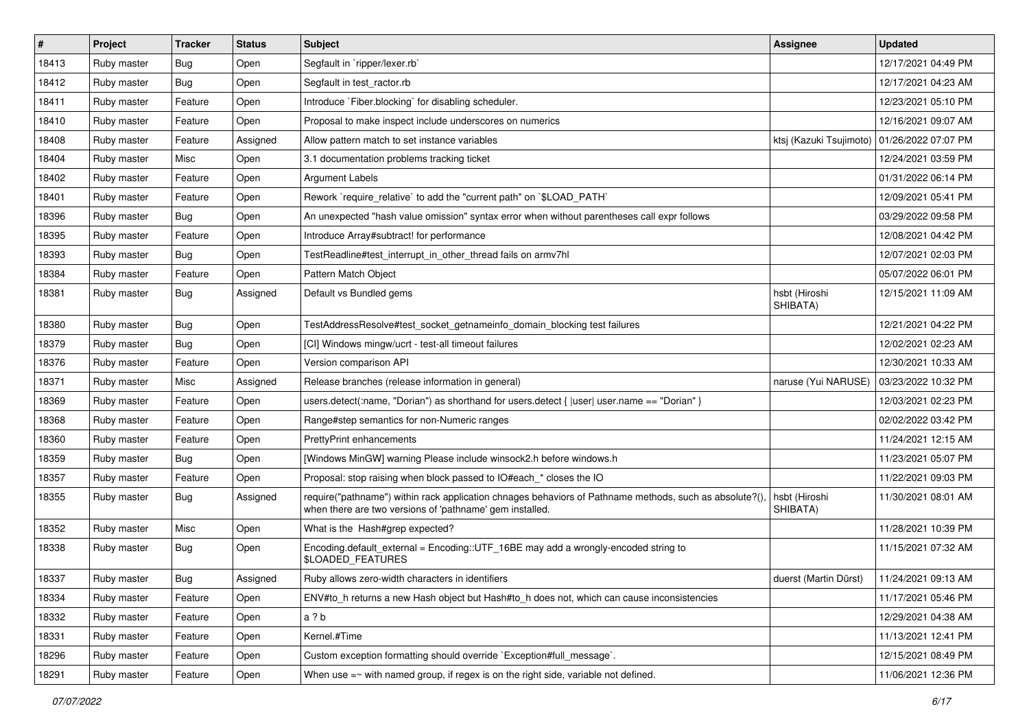| #     | Project     | <b>Tracker</b> | <b>Status</b> | Subject                                                                                                                                                             | <b>Assignee</b>           | <b>Updated</b>      |
|-------|-------------|----------------|---------------|---------------------------------------------------------------------------------------------------------------------------------------------------------------------|---------------------------|---------------------|
| 18413 | Ruby master | Bug            | Open          | Segfault in `ripper/lexer.rb`                                                                                                                                       |                           | 12/17/2021 04:49 PM |
| 18412 | Ruby master | Bug            | Open          | Segfault in test ractor.rb                                                                                                                                          |                           | 12/17/2021 04:23 AM |
| 18411 | Ruby master | Feature        | Open          | Introduce `Fiber.blocking` for disabling scheduler.                                                                                                                 |                           | 12/23/2021 05:10 PM |
| 18410 | Ruby master | Feature        | Open          | Proposal to make inspect include underscores on numerics                                                                                                            |                           | 12/16/2021 09:07 AM |
| 18408 | Ruby master | Feature        | Assigned      | Allow pattern match to set instance variables                                                                                                                       | ktsj (Kazuki Tsujimoto)   | 01/26/2022 07:07 PM |
| 18404 | Ruby master | Misc           | Open          | 3.1 documentation problems tracking ticket                                                                                                                          |                           | 12/24/2021 03:59 PM |
| 18402 | Ruby master | Feature        | Open          | <b>Argument Labels</b>                                                                                                                                              |                           | 01/31/2022 06:14 PM |
| 18401 | Ruby master | Feature        | Open          | Rework `require_relative` to add the "current path" on `\$LOAD_PATH`                                                                                                |                           | 12/09/2021 05:41 PM |
| 18396 | Ruby master | Bug            | Open          | An unexpected "hash value omission" syntax error when without parentheses call expr follows                                                                         |                           | 03/29/2022 09:58 PM |
| 18395 | Ruby master | Feature        | Open          | Introduce Array#subtract! for performance                                                                                                                           |                           | 12/08/2021 04:42 PM |
| 18393 | Ruby master | <b>Bug</b>     | Open          | TestReadline#test interrupt in other thread fails on armv7hl                                                                                                        |                           | 12/07/2021 02:03 PM |
| 18384 | Ruby master | Feature        | Open          | Pattern Match Object                                                                                                                                                |                           | 05/07/2022 06:01 PM |
| 18381 | Ruby master | Bug            | Assigned      | Default vs Bundled gems                                                                                                                                             | hsbt (Hiroshi<br>SHIBATA) | 12/15/2021 11:09 AM |
| 18380 | Ruby master | Bug            | Open          | TestAddressResolve#test_socket_getnameinfo_domain_blocking test failures                                                                                            |                           | 12/21/2021 04:22 PM |
| 18379 | Ruby master | Bug            | Open          | [CI] Windows mingw/ucrt - test-all timeout failures                                                                                                                 |                           | 12/02/2021 02:23 AM |
| 18376 | Ruby master | Feature        | Open          | Version comparison API                                                                                                                                              |                           | 12/30/2021 10:33 AM |
| 18371 | Ruby master | Misc           | Assigned      | Release branches (release information in general)                                                                                                                   | naruse (Yui NARUSE)       | 03/23/2022 10:32 PM |
| 18369 | Ruby master | Feature        | Open          | users.detect(:name, "Dorian") as shorthand for users.detect {  user  user.name == "Dorian" }                                                                        |                           | 12/03/2021 02:23 PM |
| 18368 | Ruby master | Feature        | Open          | Range#step semantics for non-Numeric ranges                                                                                                                         |                           | 02/02/2022 03:42 PM |
| 18360 | Ruby master | Feature        | Open          | PrettyPrint enhancements                                                                                                                                            |                           | 11/24/2021 12:15 AM |
| 18359 | Ruby master | Bug            | Open          | [Windows MinGW] warning Please include winsock2.h before windows.h                                                                                                  |                           | 11/23/2021 05:07 PM |
| 18357 | Ruby master | Feature        | Open          | Proposal: stop raising when block passed to IO#each_* closes the IO                                                                                                 |                           | 11/22/2021 09:03 PM |
| 18355 | Ruby master | Bug            | Assigned      | require("pathname") within rack application chnages behaviors of Pathname methods, such as absolute?(),<br>when there are two versions of 'pathname' gem installed. | hsbt (Hiroshi<br>SHIBATA) | 11/30/2021 08:01 AM |
| 18352 | Ruby master | Misc           | Open          | What is the Hash#grep expected?                                                                                                                                     |                           | 11/28/2021 10:39 PM |
| 18338 | Ruby master | Bug            | Open          | Encoding default_external = Encoding::UTF_16BE may add a wrongly-encoded string to<br>\$LOADED_FEATURES                                                             |                           | 11/15/2021 07:32 AM |
| 18337 | Ruby master | Bug            | Assigned      | Ruby allows zero-width characters in identifiers                                                                                                                    | duerst (Martin Dürst)     | 11/24/2021 09:13 AM |
| 18334 | Ruby master | Feature        | Open          | ENV#to h returns a new Hash object but Hash#to h does not, which can cause inconsistencies                                                                          |                           | 11/17/2021 05:46 PM |
| 18332 | Ruby master | Feature        | Open          | a ? b                                                                                                                                                               |                           | 12/29/2021 04:38 AM |
| 18331 | Ruby master | Feature        | Open          | Kernel.#Time                                                                                                                                                        |                           | 11/13/2021 12:41 PM |
| 18296 | Ruby master | Feature        | Open          | Custom exception formatting should override `Exception#full_message`.                                                                                               |                           | 12/15/2021 08:49 PM |
| 18291 | Ruby master | Feature        | Open          | When use $=\sim$ with named group, if regex is on the right side, variable not defined.                                                                             |                           | 11/06/2021 12:36 PM |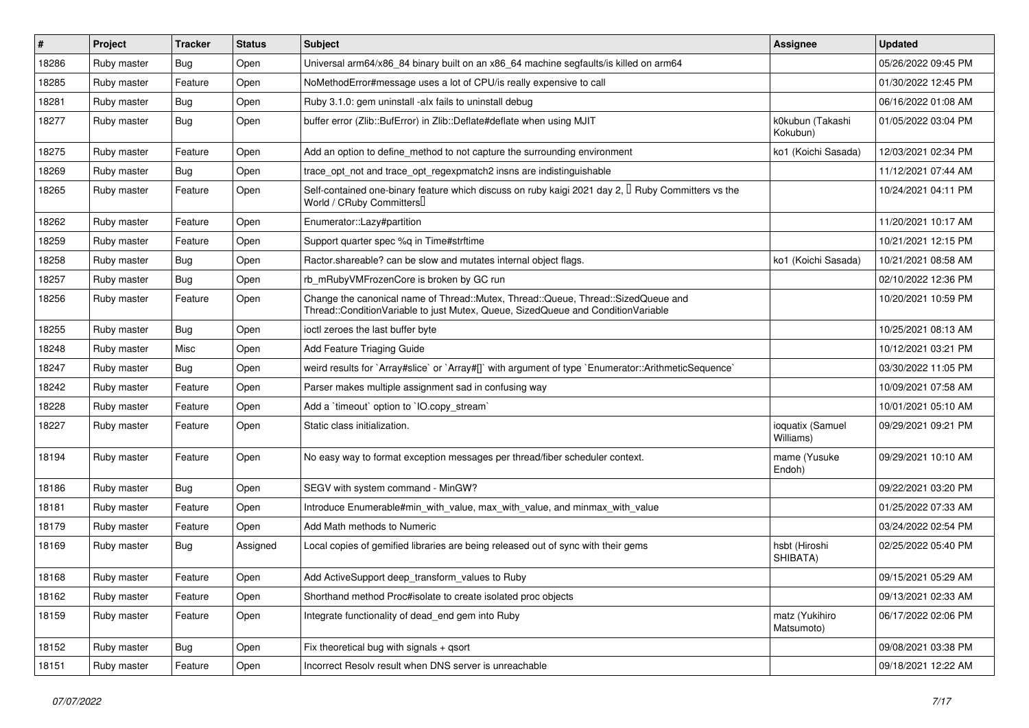| $\vert$ # | Project     | <b>Tracker</b> | <b>Status</b> | Subject                                                                                                                                                               | <b>Assignee</b>               | <b>Updated</b>      |
|-----------|-------------|----------------|---------------|-----------------------------------------------------------------------------------------------------------------------------------------------------------------------|-------------------------------|---------------------|
| 18286     | Ruby master | Bug            | Open          | Universal arm64/x86_84 binary built on an x86_64 machine segfaults/is killed on arm64                                                                                 |                               | 05/26/2022 09:45 PM |
| 18285     | Ruby master | Feature        | Open          | NoMethodError#message uses a lot of CPU/is really expensive to call                                                                                                   |                               | 01/30/2022 12:45 PM |
| 18281     | Ruby master | <b>Bug</b>     | Open          | Ruby 3.1.0: gem uninstall -alx fails to uninstall debug                                                                                                               |                               | 06/16/2022 01:08 AM |
| 18277     | Ruby master | <b>Bug</b>     | Open          | buffer error (Zlib::BufError) in Zlib::Deflate#deflate when using MJIT                                                                                                | k0kubun (Takashi<br>Kokubun)  | 01/05/2022 03:04 PM |
| 18275     | Ruby master | Feature        | Open          | Add an option to define method to not capture the surrounding environment                                                                                             | ko1 (Koichi Sasada)           | 12/03/2021 02:34 PM |
| 18269     | Ruby master | <b>Bug</b>     | Open          | trace_opt_not and trace_opt_regexpmatch2 insns are indistinguishable                                                                                                  |                               | 11/12/2021 07:44 AM |
| 18265     | Ruby master | Feature        | Open          | Self-contained one-binary feature which discuss on ruby kaigi 2021 day 2, <sup>[]</sup> Ruby Committers vs the<br>World / CRuby Committers                            |                               | 10/24/2021 04:11 PM |
| 18262     | Ruby master | Feature        | Open          | Enumerator::Lazy#partition                                                                                                                                            |                               | 11/20/2021 10:17 AM |
| 18259     | Ruby master | Feature        | Open          | Support quarter spec %q in Time#strftime                                                                                                                              |                               | 10/21/2021 12:15 PM |
| 18258     | Ruby master | <b>Bug</b>     | Open          | Ractor shareable? can be slow and mutates internal object flags.                                                                                                      | ko1 (Koichi Sasada)           | 10/21/2021 08:58 AM |
| 18257     | Ruby master | Bug            | Open          | rb_mRubyVMFrozenCore is broken by GC run                                                                                                                              |                               | 02/10/2022 12:36 PM |
| 18256     | Ruby master | Feature        | Open          | Change the canonical name of Thread::Mutex, Thread::Queue, Thread::SizedQueue and<br>Thread::ConditionVariable to just Mutex, Queue, SizedQueue and ConditionVariable |                               | 10/20/2021 10:59 PM |
| 18255     | Ruby master | <b>Bug</b>     | Open          | ioctl zeroes the last buffer byte                                                                                                                                     |                               | 10/25/2021 08:13 AM |
| 18248     | Ruby master | Misc           | Open          | Add Feature Triaging Guide                                                                                                                                            |                               | 10/12/2021 03:21 PM |
| 18247     | Ruby master | Bug            | Open          | weird results for `Array#slice` or `Array#[]` with argument of type `Enumerator::ArithmeticSequence`                                                                  |                               | 03/30/2022 11:05 PM |
| 18242     | Ruby master | Feature        | Open          | Parser makes multiple assignment sad in confusing way                                                                                                                 |                               | 10/09/2021 07:58 AM |
| 18228     | Ruby master | Feature        | Open          | Add a 'timeout' option to 'IO.copy_stream'                                                                                                                            |                               | 10/01/2021 05:10 AM |
| 18227     | Ruby master | Feature        | Open          | Static class initialization.                                                                                                                                          | ioquatix (Samuel<br>Williams) | 09/29/2021 09:21 PM |
| 18194     | Ruby master | Feature        | Open          | No easy way to format exception messages per thread/fiber scheduler context.                                                                                          | mame (Yusuke<br>Endoh)        | 09/29/2021 10:10 AM |
| 18186     | Ruby master | Bug            | Open          | SEGV with system command - MinGW?                                                                                                                                     |                               | 09/22/2021 03:20 PM |
| 18181     | Ruby master | Feature        | Open          | Introduce Enumerable#min_with_value, max_with_value, and minmax_with_value                                                                                            |                               | 01/25/2022 07:33 AM |
| 18179     | Ruby master | Feature        | Open          | Add Math methods to Numeric                                                                                                                                           |                               | 03/24/2022 02:54 PM |
| 18169     | Ruby master | <b>Bug</b>     | Assigned      | Local copies of gemified libraries are being released out of sync with their gems                                                                                     | hsbt (Hiroshi<br>SHIBATA)     | 02/25/2022 05:40 PM |
| 18168     | Ruby master | Feature        | Open          | Add ActiveSupport deep_transform_values to Ruby                                                                                                                       |                               | 09/15/2021 05:29 AM |
| 18162     | Ruby master | Feature        | Open          | Shorthand method Proc#isolate to create isolated proc objects                                                                                                         |                               | 09/13/2021 02:33 AM |
| 18159     | Ruby master | Feature        | Open          | Integrate functionality of dead_end gem into Ruby                                                                                                                     | matz (Yukihiro<br>Matsumoto)  | 06/17/2022 02:06 PM |
| 18152     | Ruby master | <b>Bug</b>     | Open          | Fix theoretical bug with signals + qsort                                                                                                                              |                               | 09/08/2021 03:38 PM |
| 18151     | Ruby master | Feature        | Open          | Incorrect Resolv result when DNS server is unreachable                                                                                                                |                               | 09/18/2021 12:22 AM |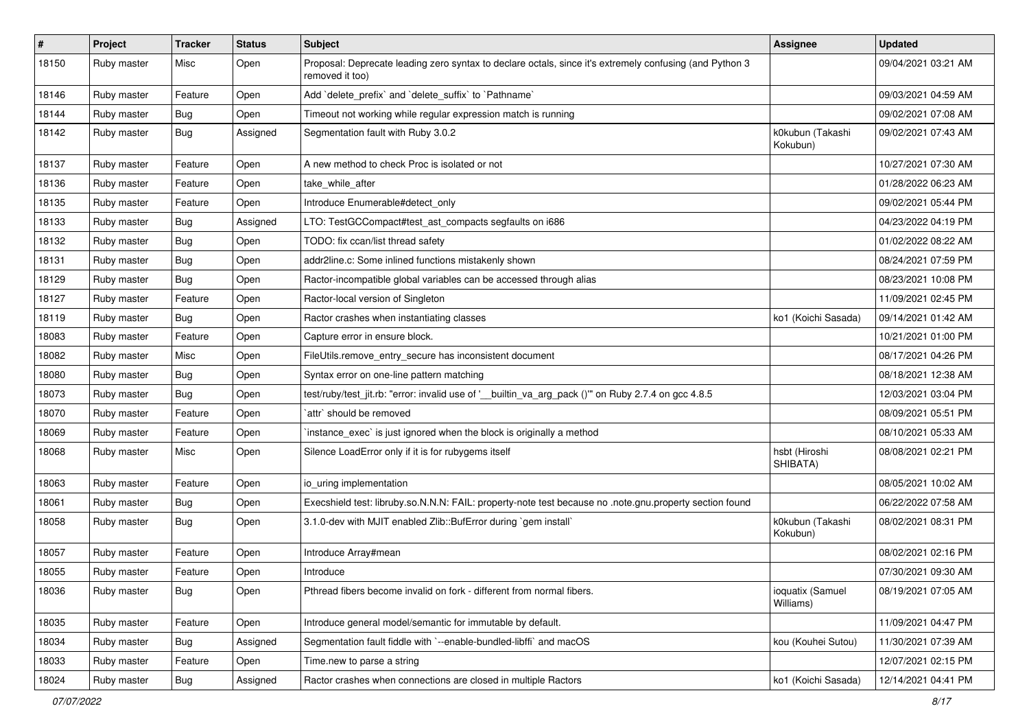| $\vert$ # | Project     | <b>Tracker</b> | <b>Status</b> | <b>Subject</b>                                                                                                             | Assignee                      | <b>Updated</b>      |
|-----------|-------------|----------------|---------------|----------------------------------------------------------------------------------------------------------------------------|-------------------------------|---------------------|
| 18150     | Ruby master | Misc           | Open          | Proposal: Deprecate leading zero syntax to declare octals, since it's extremely confusing (and Python 3<br>removed it too) |                               | 09/04/2021 03:21 AM |
| 18146     | Ruby master | Feature        | Open          | Add 'delete_prefix' and 'delete_suffix' to 'Pathname'                                                                      |                               | 09/03/2021 04:59 AM |
| 18144     | Ruby master | Bug            | Open          | Timeout not working while regular expression match is running                                                              |                               | 09/02/2021 07:08 AM |
| 18142     | Ruby master | <b>Bug</b>     | Assigned      | Segmentation fault with Ruby 3.0.2                                                                                         | k0kubun (Takashi<br>Kokubun)  | 09/02/2021 07:43 AM |
| 18137     | Ruby master | Feature        | Open          | A new method to check Proc is isolated or not                                                                              |                               | 10/27/2021 07:30 AM |
| 18136     | Ruby master | Feature        | Open          | take_while_after                                                                                                           |                               | 01/28/2022 06:23 AM |
| 18135     | Ruby master | Feature        | Open          | Introduce Enumerable#detect_only                                                                                           |                               | 09/02/2021 05:44 PM |
| 18133     | Ruby master | Bug            | Assigned      | LTO: TestGCCompact#test_ast_compacts segfaults on i686                                                                     |                               | 04/23/2022 04:19 PM |
| 18132     | Ruby master | Bug            | Open          | TODO: fix ccan/list thread safety                                                                                          |                               | 01/02/2022 08:22 AM |
| 18131     | Ruby master | <b>Bug</b>     | Open          | addr2line.c: Some inlined functions mistakenly shown                                                                       |                               | 08/24/2021 07:59 PM |
| 18129     | Ruby master | <b>Bug</b>     | Open          | Ractor-incompatible global variables can be accessed through alias                                                         |                               | 08/23/2021 10:08 PM |
| 18127     | Ruby master | Feature        | Open          | Ractor-local version of Singleton                                                                                          |                               | 11/09/2021 02:45 PM |
| 18119     | Ruby master | Bug            | Open          | Ractor crashes when instantiating classes                                                                                  | ko1 (Koichi Sasada)           | 09/14/2021 01:42 AM |
| 18083     | Ruby master | Feature        | Open          | Capture error in ensure block.                                                                                             |                               | 10/21/2021 01:00 PM |
| 18082     | Ruby master | Misc           | Open          | FileUtils.remove_entry_secure has inconsistent document                                                                    |                               | 08/17/2021 04:26 PM |
| 18080     | Ruby master | <b>Bug</b>     | Open          | Syntax error on one-line pattern matching                                                                                  |                               | 08/18/2021 12:38 AM |
| 18073     | Ruby master | Bug            | Open          | test/ruby/test_jit.rb: "error: invalid use of '__builtin_va_arg_pack ()" on Ruby 2.7.4 on gcc 4.8.5                        |                               | 12/03/2021 03:04 PM |
| 18070     | Ruby master | Feature        | Open          | attr` should be removed                                                                                                    |                               | 08/09/2021 05:51 PM |
| 18069     | Ruby master | Feature        | Open          | instance_exec` is just ignored when the block is originally a method                                                       |                               | 08/10/2021 05:33 AM |
| 18068     | Ruby master | Misc           | Open          | Silence LoadError only if it is for rubygems itself                                                                        | hsbt (Hiroshi<br>SHIBATA)     | 08/08/2021 02:21 PM |
| 18063     | Ruby master | Feature        | Open          | io_uring implementation                                                                                                    |                               | 08/05/2021 10:02 AM |
| 18061     | Ruby master | Bug            | Open          | Execshield test: libruby.so.N.N.N: FAIL: property-note test because no .note.gnu.property section found                    |                               | 06/22/2022 07:58 AM |
| 18058     | Ruby master | <b>Bug</b>     | Open          | 3.1.0-dev with MJIT enabled Zlib::BufError during `gem install`                                                            | k0kubun (Takashi<br>Kokubun)  | 08/02/2021 08:31 PM |
| 18057     | Ruby master | Feature        | Open          | Introduce Array#mean                                                                                                       |                               | 08/02/2021 02:16 PM |
| 18055     | Ruby master | Feature        | Open          | Introduce                                                                                                                  |                               | 07/30/2021 09:30 AM |
| 18036     | Ruby master | <b>Bug</b>     | Open          | Pthread fibers become invalid on fork - different from normal fibers.                                                      | ioquatix (Samuel<br>Williams) | 08/19/2021 07:05 AM |
| 18035     | Ruby master | Feature        | Open          | Introduce general model/semantic for immutable by default.                                                                 |                               | 11/09/2021 04:47 PM |
| 18034     | Ruby master | Bug            | Assigned      | Segmentation fault fiddle with `--enable-bundled-libffi` and macOS                                                         | kou (Kouhei Sutou)            | 11/30/2021 07:39 AM |
| 18033     | Ruby master | Feature        | Open          | Time.new to parse a string                                                                                                 |                               | 12/07/2021 02:15 PM |
| 18024     | Ruby master | <b>Bug</b>     | Assigned      | Ractor crashes when connections are closed in multiple Ractors                                                             | ko1 (Koichi Sasada)           | 12/14/2021 04:41 PM |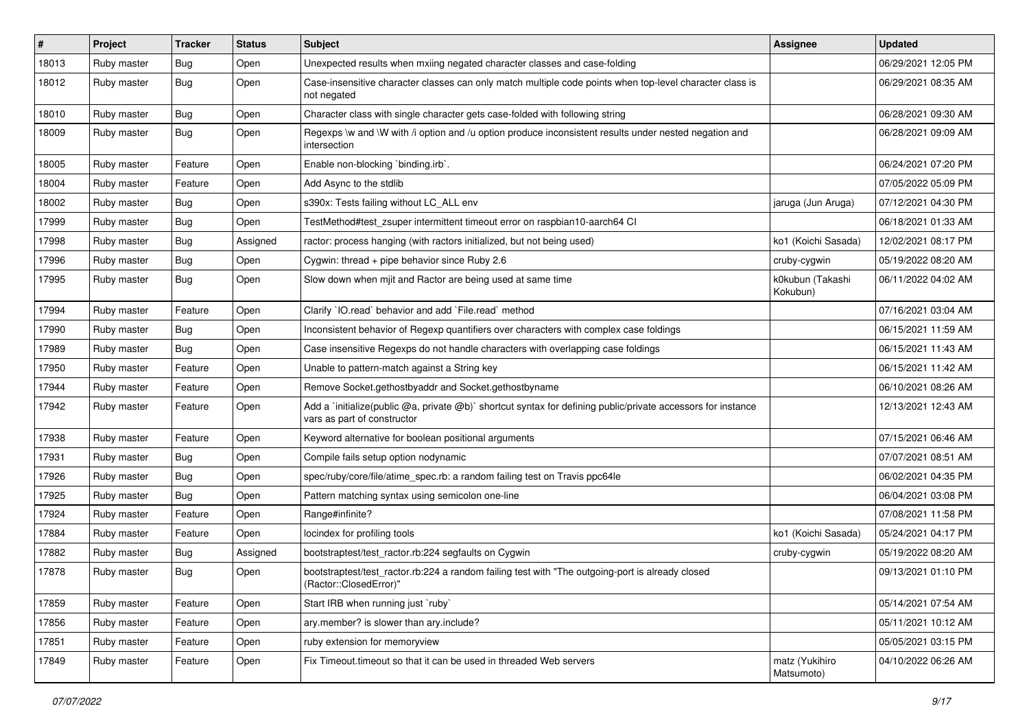| $\vert$ # | Project     | <b>Tracker</b> | <b>Status</b> | Subject                                                                                                                                     | <b>Assignee</b>              | <b>Updated</b>      |
|-----------|-------------|----------------|---------------|---------------------------------------------------------------------------------------------------------------------------------------------|------------------------------|---------------------|
| 18013     | Ruby master | <b>Bug</b>     | Open          | Unexpected results when mxiing negated character classes and case-folding                                                                   |                              | 06/29/2021 12:05 PM |
| 18012     | Ruby master | <b>Bug</b>     | Open          | Case-insensitive character classes can only match multiple code points when top-level character class is<br>not negated                     |                              | 06/29/2021 08:35 AM |
| 18010     | Ruby master | <b>Bug</b>     | Open          | Character class with single character gets case-folded with following string                                                                |                              | 06/28/2021 09:30 AM |
| 18009     | Ruby master | <b>Bug</b>     | Open          | Regexps \w and \W with /i option and /u option produce inconsistent results under nested negation and<br>intersection                       |                              | 06/28/2021 09:09 AM |
| 18005     | Ruby master | Feature        | Open          | Enable non-blocking `binding.irb`.                                                                                                          |                              | 06/24/2021 07:20 PM |
| 18004     | Ruby master | Feature        | Open          | Add Async to the stdlib                                                                                                                     |                              | 07/05/2022 05:09 PM |
| 18002     | Ruby master | Bug            | Open          | s390x: Tests failing without LC ALL env                                                                                                     | jaruga (Jun Aruga)           | 07/12/2021 04:30 PM |
| 17999     | Ruby master | <b>Bug</b>     | Open          | TestMethod#test_zsuper intermittent timeout error on raspbian10-aarch64 CI                                                                  |                              | 06/18/2021 01:33 AM |
| 17998     | Ruby master | <b>Bug</b>     | Assigned      | ractor: process hanging (with ractors initialized, but not being used)                                                                      | ko1 (Koichi Sasada)          | 12/02/2021 08:17 PM |
| 17996     | Ruby master | <b>Bug</b>     | Open          | Cygwin: thread + pipe behavior since Ruby 2.6                                                                                               | cruby-cygwin                 | 05/19/2022 08:20 AM |
| 17995     | Ruby master | <b>Bug</b>     | Open          | Slow down when mjit and Ractor are being used at same time                                                                                  | k0kubun (Takashi<br>Kokubun) | 06/11/2022 04:02 AM |
| 17994     | Ruby master | Feature        | Open          | Clarify 'IO.read' behavior and add 'File.read' method                                                                                       |                              | 07/16/2021 03:04 AM |
| 17990     | Ruby master | <b>Bug</b>     | Open          | Inconsistent behavior of Regexp quantifiers over characters with complex case foldings                                                      |                              | 06/15/2021 11:59 AM |
| 17989     | Ruby master | <b>Bug</b>     | Open          | Case insensitive Regexps do not handle characters with overlapping case foldings                                                            |                              | 06/15/2021 11:43 AM |
| 17950     | Ruby master | Feature        | Open          | Unable to pattern-match against a String key                                                                                                |                              | 06/15/2021 11:42 AM |
| 17944     | Ruby master | Feature        | Open          | Remove Socket.gethostbyaddr and Socket.gethostbyname                                                                                        |                              | 06/10/2021 08:26 AM |
| 17942     | Ruby master | Feature        | Open          | Add a `initialize(public @a, private @b)` shortcut syntax for defining public/private accessors for instance<br>vars as part of constructor |                              | 12/13/2021 12:43 AM |
| 17938     | Ruby master | Feature        | Open          | Keyword alternative for boolean positional arguments                                                                                        |                              | 07/15/2021 06:46 AM |
| 17931     | Ruby master | <b>Bug</b>     | Open          | Compile fails setup option nodynamic                                                                                                        |                              | 07/07/2021 08:51 AM |
| 17926     | Ruby master | <b>Bug</b>     | Open          | spec/ruby/core/file/atime_spec.rb: a random failing test on Travis ppc64le                                                                  |                              | 06/02/2021 04:35 PM |
| 17925     | Ruby master | <b>Bug</b>     | Open          | Pattern matching syntax using semicolon one-line                                                                                            |                              | 06/04/2021 03:08 PM |
| 17924     | Ruby master | Feature        | Open          | Range#infinite?                                                                                                                             |                              | 07/08/2021 11:58 PM |
| 17884     | Ruby master | Feature        | Open          | locindex for profiling tools                                                                                                                | ko1 (Koichi Sasada)          | 05/24/2021 04:17 PM |
| 17882     | Ruby master | Bug            | Assigned      | bootstraptest/test_ractor.rb:224 segfaults on Cygwin                                                                                        | cruby-cygwin                 | 05/19/2022 08:20 AM |
| 17878     | Ruby master | <b>Bug</b>     | Open          | bootstraptest/test_ractor.rb:224 a random failing test with "The outgoing-port is already closed<br>(Ractor::ClosedError)"                  |                              | 09/13/2021 01:10 PM |
| 17859     | Ruby master | Feature        | Open          | Start IRB when running just 'ruby'                                                                                                          |                              | 05/14/2021 07:54 AM |
| 17856     | Ruby master | Feature        | Open          | ary.member? is slower than ary.include?                                                                                                     |                              | 05/11/2021 10:12 AM |
| 17851     | Ruby master | Feature        | Open          | ruby extension for memoryview                                                                                                               |                              | 05/05/2021 03:15 PM |
| 17849     | Ruby master | Feature        | Open          | Fix Timeout timeout so that it can be used in threaded Web servers                                                                          | matz (Yukihiro<br>Matsumoto) | 04/10/2022 06:26 AM |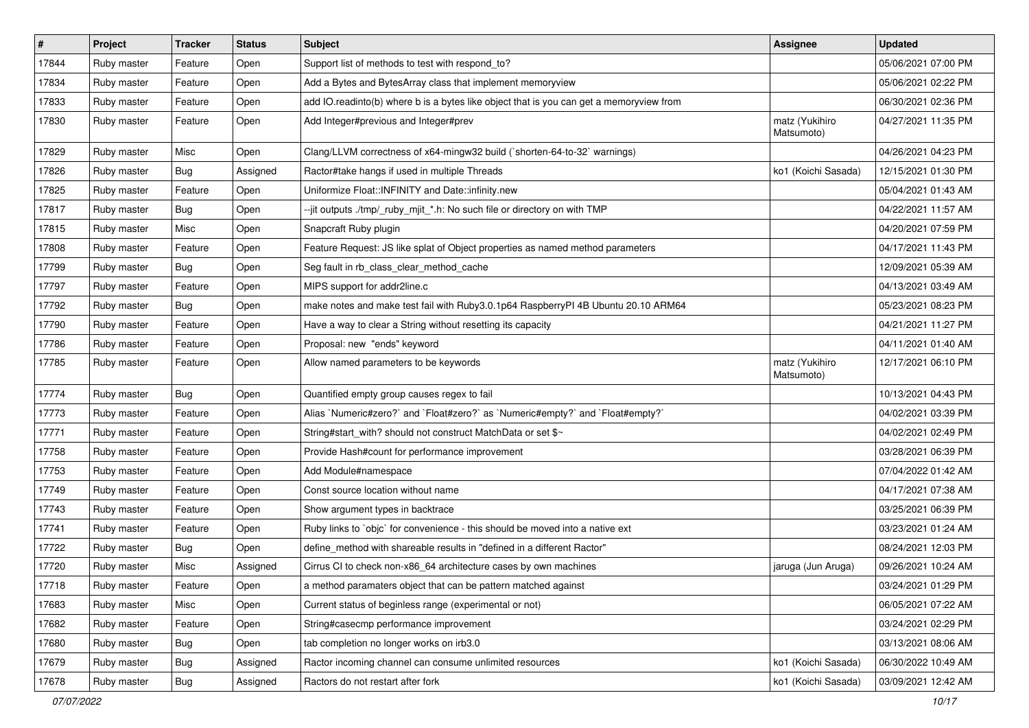| #     | Project     | <b>Tracker</b> | <b>Status</b> | Subject                                                                                 | Assignee                     | <b>Updated</b>      |
|-------|-------------|----------------|---------------|-----------------------------------------------------------------------------------------|------------------------------|---------------------|
| 17844 | Ruby master | Feature        | Open          | Support list of methods to test with respond_to?                                        |                              | 05/06/2021 07:00 PM |
| 17834 | Ruby master | Feature        | Open          | Add a Bytes and BytesArray class that implement memoryview                              |                              | 05/06/2021 02:22 PM |
| 17833 | Ruby master | Feature        | Open          | add IO.readinto(b) where b is a bytes like object that is you can get a memoryview from |                              | 06/30/2021 02:36 PM |
| 17830 | Ruby master | Feature        | Open          | Add Integer#previous and Integer#prev                                                   | matz (Yukihiro<br>Matsumoto) | 04/27/2021 11:35 PM |
| 17829 | Ruby master | Misc           | Open          | Clang/LLVM correctness of x64-mingw32 build (`shorten-64-to-32` warnings)               |                              | 04/26/2021 04:23 PM |
| 17826 | Ruby master | Bug            | Assigned      | Ractor#take hangs if used in multiple Threads                                           | ko1 (Koichi Sasada)          | 12/15/2021 01:30 PM |
| 17825 | Ruby master | Feature        | Open          | Uniformize Float::INFINITY and Date::infinity.new                                       |                              | 05/04/2021 01:43 AM |
| 17817 | Ruby master | Bug            | Open          | --jit outputs ./tmp/_ruby_mjit_*.h: No such file or directory on with TMP               |                              | 04/22/2021 11:57 AM |
| 17815 | Ruby master | Misc           | Open          | Snapcraft Ruby plugin                                                                   |                              | 04/20/2021 07:59 PM |
| 17808 | Ruby master | Feature        | Open          | Feature Request: JS like splat of Object properties as named method parameters          |                              | 04/17/2021 11:43 PM |
| 17799 | Ruby master | Bug            | Open          | Seg fault in rb_class_clear_method_cache                                                |                              | 12/09/2021 05:39 AM |
| 17797 | Ruby master | Feature        | Open          | MIPS support for addr2line.c                                                            |                              | 04/13/2021 03:49 AM |
| 17792 | Ruby master | <b>Bug</b>     | Open          | make notes and make test fail with Ruby3.0.1p64 RaspberryPI 4B Ubuntu 20.10 ARM64       |                              | 05/23/2021 08:23 PM |
| 17790 | Ruby master | Feature        | Open          | Have a way to clear a String without resetting its capacity                             |                              | 04/21/2021 11:27 PM |
| 17786 | Ruby master | Feature        | Open          | Proposal: new "ends" keyword                                                            |                              | 04/11/2021 01:40 AM |
| 17785 | Ruby master | Feature        | Open          | Allow named parameters to be keywords                                                   | matz (Yukihiro<br>Matsumoto) | 12/17/2021 06:10 PM |
| 17774 | Ruby master | Bug            | Open          | Quantified empty group causes regex to fail                                             |                              | 10/13/2021 04:43 PM |
| 17773 | Ruby master | Feature        | Open          | Alias `Numeric#zero?` and `Float#zero?` as `Numeric#empty?` and `Float#empty?`          |                              | 04/02/2021 03:39 PM |
| 17771 | Ruby master | Feature        | Open          | String#start_with? should not construct MatchData or set \$~                            |                              | 04/02/2021 02:49 PM |
| 17758 | Ruby master | Feature        | Open          | Provide Hash#count for performance improvement                                          |                              | 03/28/2021 06:39 PM |
| 17753 | Ruby master | Feature        | Open          | Add Module#namespace                                                                    |                              | 07/04/2022 01:42 AM |
| 17749 | Ruby master | Feature        | Open          | Const source location without name                                                      |                              | 04/17/2021 07:38 AM |
| 17743 | Ruby master | Feature        | Open          | Show argument types in backtrace                                                        |                              | 03/25/2021 06:39 PM |
| 17741 | Ruby master | Feature        | Open          | Ruby links to `objc` for convenience - this should be moved into a native ext           |                              | 03/23/2021 01:24 AM |
| 17722 | Ruby master | <b>Bug</b>     | Open          | define_method with shareable results in "defined in a different Ractor"                 |                              | 08/24/2021 12:03 PM |
| 17720 | Ruby master | Misc           | Assigned      | Cirrus CI to check non-x86_64 architecture cases by own machines                        | jaruga (Jun Aruga)           | 09/26/2021 10:24 AM |
| 17718 | Ruby master | Feature        | Open          | a method paramaters object that can be pattern matched against                          |                              | 03/24/2021 01:29 PM |
| 17683 | Ruby master | Misc           | Open          | Current status of beginless range (experimental or not)                                 |                              | 06/05/2021 07:22 AM |
| 17682 | Ruby master | Feature        | Open          | String#casecmp performance improvement                                                  |                              | 03/24/2021 02:29 PM |
| 17680 | Ruby master | <b>Bug</b>     | Open          | tab completion no longer works on irb3.0                                                |                              | 03/13/2021 08:06 AM |
| 17679 | Ruby master | <b>Bug</b>     | Assigned      | Ractor incoming channel can consume unlimited resources                                 | ko1 (Koichi Sasada)          | 06/30/2022 10:49 AM |
| 17678 | Ruby master | <b>Bug</b>     | Assigned      | Ractors do not restart after fork                                                       | ko1 (Koichi Sasada)          | 03/09/2021 12:42 AM |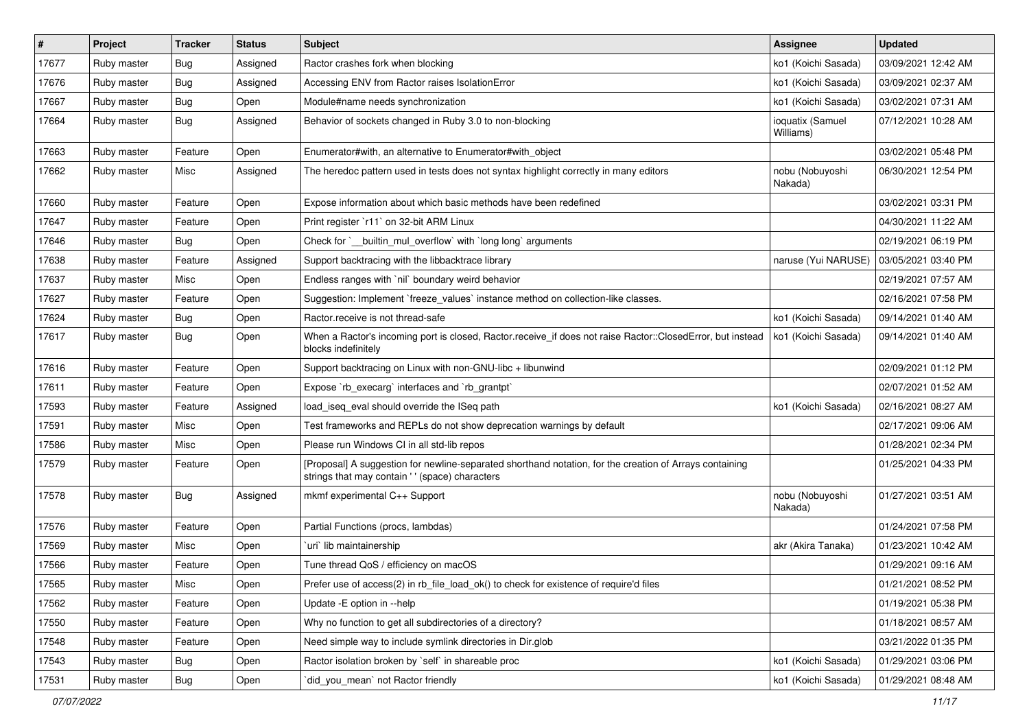| $\vert$ # | Project     | <b>Tracker</b> | <b>Status</b> | <b>Subject</b>                                                                                                                                            | Assignee                      | <b>Updated</b>      |
|-----------|-------------|----------------|---------------|-----------------------------------------------------------------------------------------------------------------------------------------------------------|-------------------------------|---------------------|
| 17677     | Ruby master | <b>Bug</b>     | Assigned      | Ractor crashes fork when blocking                                                                                                                         | ko1 (Koichi Sasada)           | 03/09/2021 12:42 AM |
| 17676     | Ruby master | <b>Bug</b>     | Assigned      | Accessing ENV from Ractor raises IsolationError                                                                                                           | ko1 (Koichi Sasada)           | 03/09/2021 02:37 AM |
| 17667     | Ruby master | Bug            | Open          | Module#name needs synchronization                                                                                                                         | ko1 (Koichi Sasada)           | 03/02/2021 07:31 AM |
| 17664     | Ruby master | Bug            | Assigned      | Behavior of sockets changed in Ruby 3.0 to non-blocking                                                                                                   | ioquatix (Samuel<br>Williams) | 07/12/2021 10:28 AM |
| 17663     | Ruby master | Feature        | Open          | Enumerator#with, an alternative to Enumerator#with_object                                                                                                 |                               | 03/02/2021 05:48 PM |
| 17662     | Ruby master | Misc           | Assigned      | The heredoc pattern used in tests does not syntax highlight correctly in many editors                                                                     | nobu (Nobuyoshi<br>Nakada)    | 06/30/2021 12:54 PM |
| 17660     | Ruby master | Feature        | Open          | Expose information about which basic methods have been redefined                                                                                          |                               | 03/02/2021 03:31 PM |
| 17647     | Ruby master | Feature        | Open          | Print register `r11` on 32-bit ARM Linux                                                                                                                  |                               | 04/30/2021 11:22 AM |
| 17646     | Ruby master | <b>Bug</b>     | Open          | Check for ` builtin mul overflow with long long arguments                                                                                                 |                               | 02/19/2021 06:19 PM |
| 17638     | Ruby master | Feature        | Assigned      | Support backtracing with the libbacktrace library                                                                                                         | naruse (Yui NARUSE)           | 03/05/2021 03:40 PM |
| 17637     | Ruby master | Misc           | Open          | Endless ranges with 'nil' boundary weird behavior                                                                                                         |                               | 02/19/2021 07:57 AM |
| 17627     | Ruby master | Feature        | Open          | Suggestion: Implement `freeze values` instance method on collection-like classes.                                                                         |                               | 02/16/2021 07:58 PM |
| 17624     | Ruby master | <b>Bug</b>     | Open          | Ractor.receive is not thread-safe                                                                                                                         | ko1 (Koichi Sasada)           | 09/14/2021 01:40 AM |
| 17617     | Ruby master | <b>Bug</b>     | Open          | When a Ractor's incoming port is closed, Ractor.receive_if does not raise Ractor::ClosedError, but instead<br>blocks indefinitely                         | ko1 (Koichi Sasada)           | 09/14/2021 01:40 AM |
| 17616     | Ruby master | Feature        | Open          | Support backtracing on Linux with non-GNU-libc + libunwind                                                                                                |                               | 02/09/2021 01:12 PM |
| 17611     | Ruby master | Feature        | Open          | Expose `rb execarg` interfaces and `rb grantpt`                                                                                                           |                               | 02/07/2021 01:52 AM |
| 17593     | Ruby master | Feature        | Assigned      | load iseg eval should override the ISeg path                                                                                                              | ko1 (Koichi Sasada)           | 02/16/2021 08:27 AM |
| 17591     | Ruby master | Misc           | Open          | Test frameworks and REPLs do not show deprecation warnings by default                                                                                     |                               | 02/17/2021 09:06 AM |
| 17586     | Ruby master | Misc           | Open          | Please run Windows CI in all std-lib repos                                                                                                                |                               | 01/28/2021 02:34 PM |
| 17579     | Ruby master | Feature        | Open          | [Proposal] A suggestion for newline-separated shorthand notation, for the creation of Arrays containing<br>strings that may contain '' (space) characters |                               | 01/25/2021 04:33 PM |
| 17578     | Ruby master | Bug            | Assigned      | mkmf experimental C++ Support                                                                                                                             | nobu (Nobuyoshi<br>Nakada)    | 01/27/2021 03:51 AM |
| 17576     | Ruby master | Feature        | Open          | Partial Functions (procs, lambdas)                                                                                                                        |                               | 01/24/2021 07:58 PM |
| 17569     | Ruby master | Misc           | Open          | uri lib maintainership                                                                                                                                    | akr (Akira Tanaka)            | 01/23/2021 10:42 AM |
| 17566     | Ruby master | Feature        | Open          | Tune thread QoS / efficiency on macOS                                                                                                                     |                               | 01/29/2021 09:16 AM |
| 17565     | Ruby master | Misc           | Open          | Prefer use of access(2) in rb_file_load_ok() to check for existence of require'd files                                                                    |                               | 01/21/2021 08:52 PM |
| 17562     | Ruby master | Feature        | Open          | Update - E option in --help                                                                                                                               |                               | 01/19/2021 05:38 PM |
| 17550     | Ruby master | Feature        | Open          | Why no function to get all subdirectories of a directory?                                                                                                 |                               | 01/18/2021 08:57 AM |
| 17548     | Ruby master | Feature        | Open          | Need simple way to include symlink directories in Dir.glob                                                                                                |                               | 03/21/2022 01:35 PM |
| 17543     | Ruby master | Bug            | Open          | Ractor isolation broken by `self` in shareable proc                                                                                                       | ko1 (Koichi Sasada)           | 01/29/2021 03:06 PM |
| 17531     | Ruby master | Bug            | Open          | did_you_mean' not Ractor friendly                                                                                                                         | ko1 (Koichi Sasada)           | 01/29/2021 08:48 AM |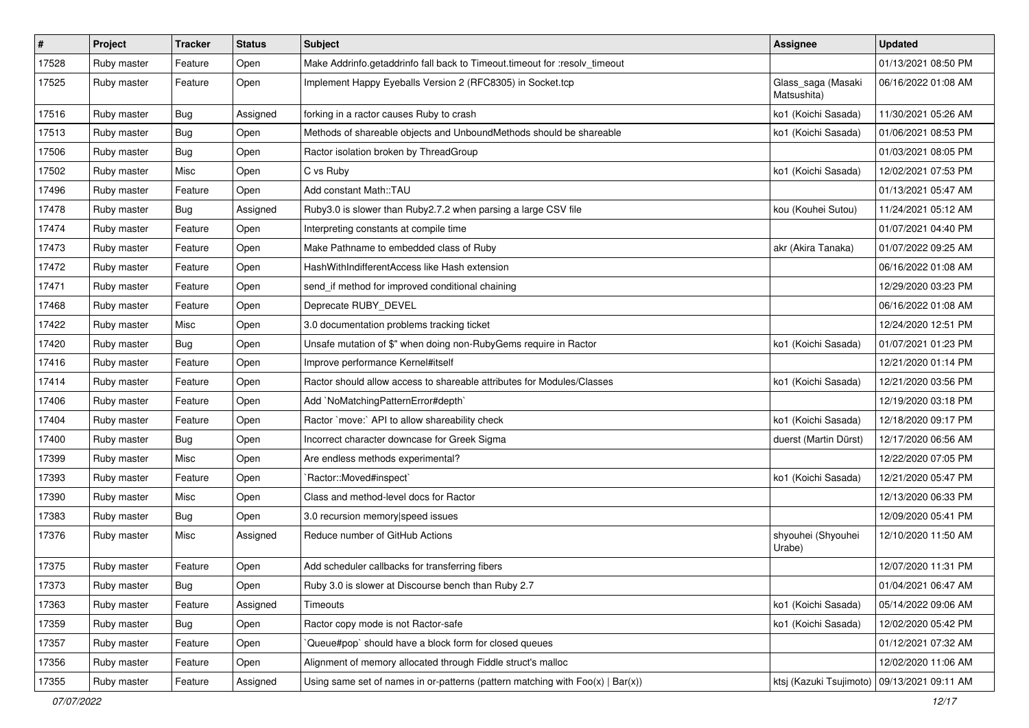| $\sharp$ | Project     | <b>Tracker</b> | <b>Status</b> | Subject                                                                           | <b>Assignee</b>                   | <b>Updated</b>      |
|----------|-------------|----------------|---------------|-----------------------------------------------------------------------------------|-----------------------------------|---------------------|
| 17528    | Ruby master | Feature        | Open          | Make Addrinfo.getaddrinfo fall back to Timeout.timeout for :resolv_timeout        |                                   | 01/13/2021 08:50 PM |
| 17525    | Ruby master | Feature        | Open          | Implement Happy Eyeballs Version 2 (RFC8305) in Socket.tcp                        | Glass_saga (Masaki<br>Matsushita) | 06/16/2022 01:08 AM |
| 17516    | Ruby master | Bug            | Assigned      | forking in a ractor causes Ruby to crash                                          | ko1 (Koichi Sasada)               | 11/30/2021 05:26 AM |
| 17513    | Ruby master | Bug            | Open          | Methods of shareable objects and UnboundMethods should be shareable               | ko1 (Koichi Sasada)               | 01/06/2021 08:53 PM |
| 17506    | Ruby master | Bug            | Open          | Ractor isolation broken by ThreadGroup                                            |                                   | 01/03/2021 08:05 PM |
| 17502    | Ruby master | Misc           | Open          | C vs Ruby                                                                         | ko1 (Koichi Sasada)               | 12/02/2021 07:53 PM |
| 17496    | Ruby master | Feature        | Open          | Add constant Math::TAU                                                            |                                   | 01/13/2021 05:47 AM |
| 17478    | Ruby master | Bug            | Assigned      | Ruby3.0 is slower than Ruby2.7.2 when parsing a large CSV file                    | kou (Kouhei Sutou)                | 11/24/2021 05:12 AM |
| 17474    | Ruby master | Feature        | Open          | Interpreting constants at compile time                                            |                                   | 01/07/2021 04:40 PM |
| 17473    | Ruby master | Feature        | Open          | Make Pathname to embedded class of Ruby                                           | akr (Akira Tanaka)                | 01/07/2022 09:25 AM |
| 17472    | Ruby master | Feature        | Open          | HashWithIndifferentAccess like Hash extension                                     |                                   | 06/16/2022 01:08 AM |
| 17471    | Ruby master | Feature        | Open          | send_if method for improved conditional chaining                                  |                                   | 12/29/2020 03:23 PM |
| 17468    | Ruby master | Feature        | Open          | Deprecate RUBY DEVEL                                                              |                                   | 06/16/2022 01:08 AM |
| 17422    | Ruby master | Misc           | Open          | 3.0 documentation problems tracking ticket                                        |                                   | 12/24/2020 12:51 PM |
| 17420    | Ruby master | Bug            | Open          | Unsafe mutation of \$" when doing non-RubyGems require in Ractor                  | ko1 (Koichi Sasada)               | 01/07/2021 01:23 PM |
| 17416    | Ruby master | Feature        | Open          | Improve performance Kernel#itself                                                 |                                   | 12/21/2020 01:14 PM |
| 17414    | Ruby master | Feature        | Open          | Ractor should allow access to shareable attributes for Modules/Classes            | ko1 (Koichi Sasada)               | 12/21/2020 03:56 PM |
| 17406    | Ruby master | Feature        | Open          | Add `NoMatchingPatternError#depth`                                                |                                   | 12/19/2020 03:18 PM |
| 17404    | Ruby master | Feature        | Open          | Ractor `move:` API to allow shareability check                                    | ko1 (Koichi Sasada)               | 12/18/2020 09:17 PM |
| 17400    | Ruby master | Bug            | Open          | Incorrect character downcase for Greek Sigma                                      | duerst (Martin Dürst)             | 12/17/2020 06:56 AM |
| 17399    | Ruby master | Misc           | Open          | Are endless methods experimental?                                                 |                                   | 12/22/2020 07:05 PM |
| 17393    | Ruby master | Feature        | Open          | 'Ractor::Moved#inspect'                                                           | ko1 (Koichi Sasada)               | 12/21/2020 05:47 PM |
| 17390    | Ruby master | Misc           | Open          | Class and method-level docs for Ractor                                            |                                   | 12/13/2020 06:33 PM |
| 17383    | Ruby master | Bug            | Open          | 3.0 recursion memory speed issues                                                 |                                   | 12/09/2020 05:41 PM |
| 17376    | Ruby master | Misc           | Assigned      | Reduce number of GitHub Actions                                                   | shyouhei (Shyouhei<br>Urabe)      | 12/10/2020 11:50 AM |
| 17375    | Ruby master | Feature        | Open          | Add scheduler callbacks for transferring fibers                                   |                                   | 12/07/2020 11:31 PM |
| 17373    | Ruby master | Bug            | Open          | Ruby 3.0 is slower at Discourse bench than Ruby 2.7                               |                                   | 01/04/2021 06:47 AM |
| 17363    | Ruby master | Feature        | Assigned      | Timeouts                                                                          | ko1 (Koichi Sasada)               | 05/14/2022 09:06 AM |
| 17359    | Ruby master | Bug            | Open          | Ractor copy mode is not Ractor-safe                                               | ko1 (Koichi Sasada)               | 12/02/2020 05:42 PM |
| 17357    | Ruby master | Feature        | Open          | Queue#pop`should have a block form for closed queues                              |                                   | 01/12/2021 07:32 AM |
| 17356    | Ruby master | Feature        | Open          | Alignment of memory allocated through Fiddle struct's malloc                      |                                   | 12/02/2020 11:06 AM |
| 17355    | Ruby master | Feature        | Assigned      | Using same set of names in or-patterns (pattern matching with $Foo(x)   Bar(x)$ ) | ktsj (Kazuki Tsujimoto)           | 09/13/2021 09:11 AM |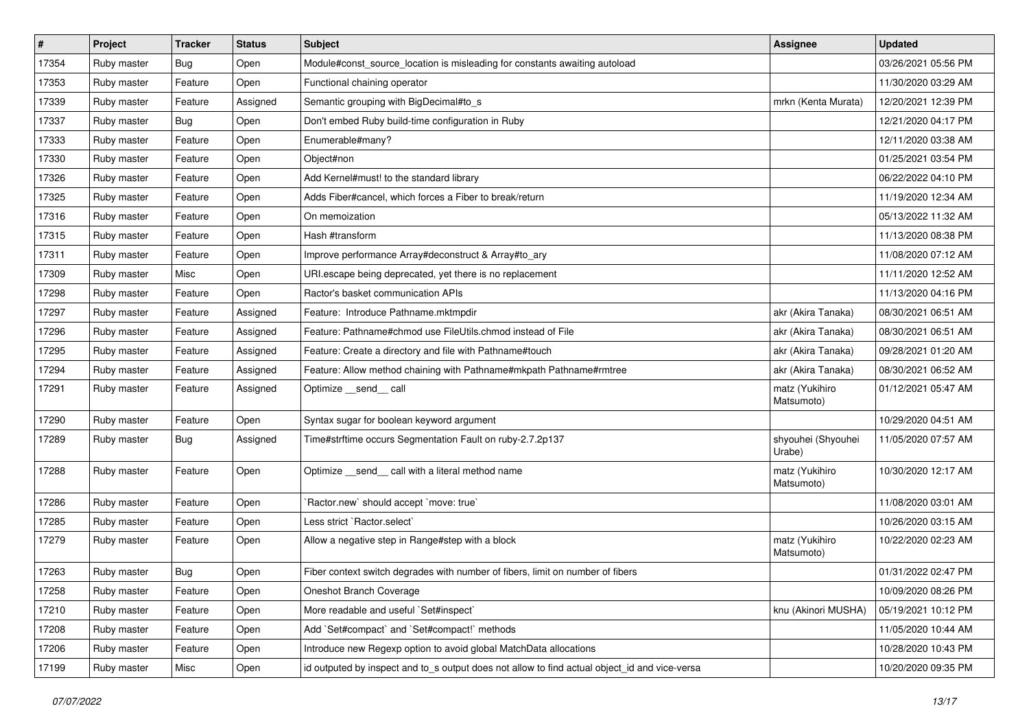| $\sharp$ | Project     | <b>Tracker</b> | <b>Status</b> | Subject                                                                                       | <b>Assignee</b>              | <b>Updated</b>      |
|----------|-------------|----------------|---------------|-----------------------------------------------------------------------------------------------|------------------------------|---------------------|
| 17354    | Ruby master | Bug            | Open          | Module#const source location is misleading for constants awaiting autoload                    |                              | 03/26/2021 05:56 PM |
| 17353    | Ruby master | Feature        | Open          | Functional chaining operator                                                                  |                              | 11/30/2020 03:29 AM |
| 17339    | Ruby master | Feature        | Assigned      | Semantic grouping with BigDecimal#to s                                                        | mrkn (Kenta Murata)          | 12/20/2021 12:39 PM |
| 17337    | Ruby master | Bug            | Open          | Don't embed Ruby build-time configuration in Ruby                                             |                              | 12/21/2020 04:17 PM |
| 17333    | Ruby master | Feature        | Open          | Enumerable#many?                                                                              |                              | 12/11/2020 03:38 AM |
| 17330    | Ruby master | Feature        | Open          | Object#non                                                                                    |                              | 01/25/2021 03:54 PM |
| 17326    | Ruby master | Feature        | Open          | Add Kernel#must! to the standard library                                                      |                              | 06/22/2022 04:10 PM |
| 17325    | Ruby master | Feature        | Open          | Adds Fiber#cancel, which forces a Fiber to break/return                                       |                              | 11/19/2020 12:34 AM |
| 17316    | Ruby master | Feature        | Open          | On memoization                                                                                |                              | 05/13/2022 11:32 AM |
| 17315    | Ruby master | Feature        | Open          | Hash #transform                                                                               |                              | 11/13/2020 08:38 PM |
| 17311    | Ruby master | Feature        | Open          | Improve performance Array#deconstruct & Array#to ary                                          |                              | 11/08/2020 07:12 AM |
| 17309    | Ruby master | Misc           | Open          | URI escape being deprecated, yet there is no replacement                                      |                              | 11/11/2020 12:52 AM |
| 17298    | Ruby master | Feature        | Open          | Ractor's basket communication APIs                                                            |                              | 11/13/2020 04:16 PM |
| 17297    | Ruby master | Feature        | Assigned      | Feature: Introduce Pathname.mktmpdir                                                          | akr (Akira Tanaka)           | 08/30/2021 06:51 AM |
| 17296    | Ruby master | Feature        | Assigned      | Feature: Pathname#chmod use FileUtils.chmod instead of File                                   | akr (Akira Tanaka)           | 08/30/2021 06:51 AM |
| 17295    | Ruby master | Feature        | Assigned      | Feature: Create a directory and file with Pathname#touch                                      | akr (Akira Tanaka)           | 09/28/2021 01:20 AM |
| 17294    | Ruby master | Feature        | Assigned      | Feature: Allow method chaining with Pathname#mkpath Pathname#rmtree                           | akr (Akira Tanaka)           | 08/30/2021 06:52 AM |
| 17291    | Ruby master | Feature        | Assigned      | Optimize __send__ call                                                                        | matz (Yukihiro<br>Matsumoto) | 01/12/2021 05:47 AM |
| 17290    | Ruby master | Feature        | Open          | Syntax sugar for boolean keyword argument                                                     |                              | 10/29/2020 04:51 AM |
| 17289    | Ruby master | <b>Bug</b>     | Assigned      | Time#strftime occurs Segmentation Fault on ruby-2.7.2p137                                     | shyouhei (Shyouhei<br>Urabe) | 11/05/2020 07:57 AM |
| 17288    | Ruby master | Feature        | Open          | Optimize _send_ call with a literal method name                                               | matz (Yukihiro<br>Matsumoto) | 10/30/2020 12:17 AM |
| 17286    | Ruby master | Feature        | Open          | 'Ractor.new' should accept 'move: true'                                                       |                              | 11/08/2020 03:01 AM |
| 17285    | Ruby master | Feature        | Open          | Less strict `Ractor.select`                                                                   |                              | 10/26/2020 03:15 AM |
| 17279    | Ruby master | Feature        | Open          | Allow a negative step in Range#step with a block                                              | matz (Yukihiro<br>Matsumoto) | 10/22/2020 02:23 AM |
| 17263    | Ruby master | <b>Bug</b>     | Open          | Fiber context switch degrades with number of fibers, limit on number of fibers                |                              | 01/31/2022 02:47 PM |
| 17258    | Ruby master | Feature        | Open          | Oneshot Branch Coverage                                                                       |                              | 10/09/2020 08:26 PM |
| 17210    | Ruby master | Feature        | Open          | More readable and useful `Set#inspect`                                                        | knu (Akinori MUSHA)          | 05/19/2021 10:12 PM |
| 17208    | Ruby master | Feature        | Open          | Add `Set#compact` and `Set#compact!` methods                                                  |                              | 11/05/2020 10:44 AM |
| 17206    | Ruby master | Feature        | Open          | Introduce new Regexp option to avoid global MatchData allocations                             |                              | 10/28/2020 10:43 PM |
| 17199    | Ruby master | Misc           | Open          | id outputed by inspect and to_s output does not allow to find actual object_id and vice-versa |                              | 10/20/2020 09:35 PM |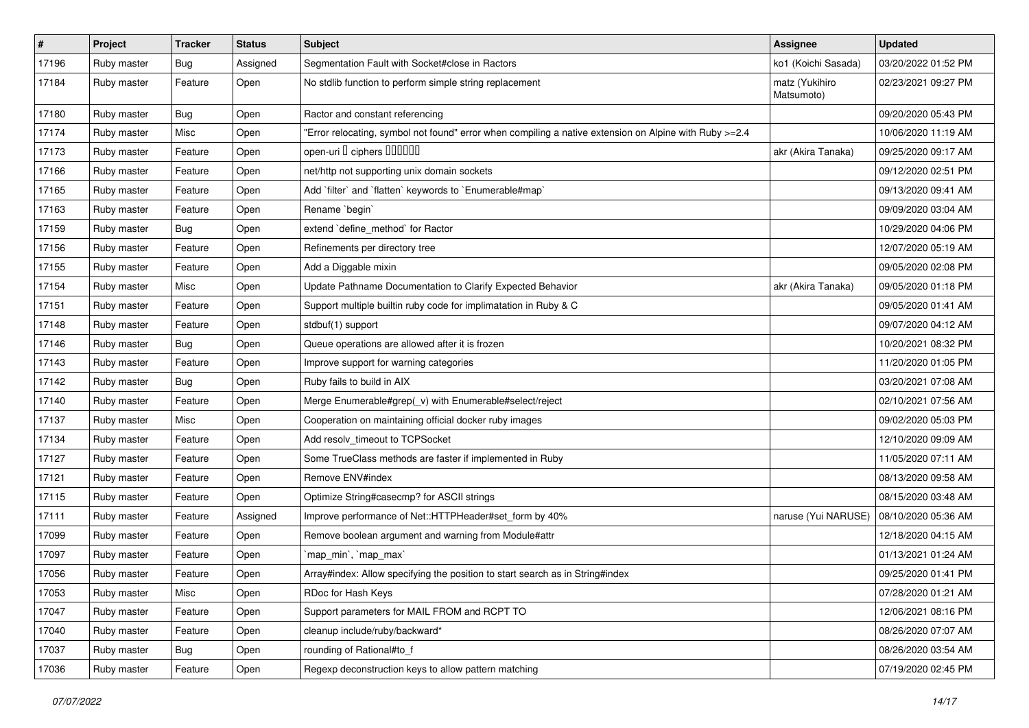| $\vert$ # | Project     | <b>Tracker</b> | <b>Status</b> | Subject                                                                                                | Assignee                     | <b>Updated</b>      |
|-----------|-------------|----------------|---------------|--------------------------------------------------------------------------------------------------------|------------------------------|---------------------|
| 17196     | Ruby master | Bug            | Assigned      | Segmentation Fault with Socket#close in Ractors                                                        | ko1 (Koichi Sasada)          | 03/20/2022 01:52 PM |
| 17184     | Ruby master | Feature        | Open          | No stdlib function to perform simple string replacement                                                | matz (Yukihiro<br>Matsumoto) | 02/23/2021 09:27 PM |
| 17180     | Ruby master | Bug            | Open          | Ractor and constant referencing                                                                        |                              | 09/20/2020 05:43 PM |
| 17174     | Ruby master | Misc           | Open          | Error relocating, symbol not found" error when compiling a native extension on Alpine with Ruby >=2.4" |                              | 10/06/2020 11:19 AM |
| 17173     | Ruby master | Feature        | Open          | open-uri I ciphers IIIIIII                                                                             | akr (Akira Tanaka)           | 09/25/2020 09:17 AM |
| 17166     | Ruby master | Feature        | Open          | net/http not supporting unix domain sockets                                                            |                              | 09/12/2020 02:51 PM |
| 17165     | Ruby master | Feature        | Open          | Add `filter` and `flatten` keywords to `Enumerable#map`                                                |                              | 09/13/2020 09:41 AM |
| 17163     | Ruby master | Feature        | Open          | Rename `begin`                                                                                         |                              | 09/09/2020 03:04 AM |
| 17159     | Ruby master | <b>Bug</b>     | Open          | extend `define_method` for Ractor                                                                      |                              | 10/29/2020 04:06 PM |
| 17156     | Ruby master | Feature        | Open          | Refinements per directory tree                                                                         |                              | 12/07/2020 05:19 AM |
| 17155     | Ruby master | Feature        | Open          | Add a Diggable mixin                                                                                   |                              | 09/05/2020 02:08 PM |
| 17154     | Ruby master | Misc           | Open          | Update Pathname Documentation to Clarify Expected Behavior                                             | akr (Akira Tanaka)           | 09/05/2020 01:18 PM |
| 17151     | Ruby master | Feature        | Open          | Support multiple builtin ruby code for implimatation in Ruby & C                                       |                              | 09/05/2020 01:41 AM |
| 17148     | Ruby master | Feature        | Open          | stdbuf(1) support                                                                                      |                              | 09/07/2020 04:12 AM |
| 17146     | Ruby master | Bug            | Open          | Queue operations are allowed after it is frozen                                                        |                              | 10/20/2021 08:32 PM |
| 17143     | Ruby master | Feature        | Open          | Improve support for warning categories                                                                 |                              | 11/20/2020 01:05 PM |
| 17142     | Ruby master | <b>Bug</b>     | Open          | Ruby fails to build in AIX                                                                             |                              | 03/20/2021 07:08 AM |
| 17140     | Ruby master | Feature        | Open          | Merge Enumerable#grep(_v) with Enumerable#select/reject                                                |                              | 02/10/2021 07:56 AM |
| 17137     | Ruby master | Misc           | Open          | Cooperation on maintaining official docker ruby images                                                 |                              | 09/02/2020 05:03 PM |
| 17134     | Ruby master | Feature        | Open          | Add resolv_timeout to TCPSocket                                                                        |                              | 12/10/2020 09:09 AM |
| 17127     | Ruby master | Feature        | Open          | Some TrueClass methods are faster if implemented in Ruby                                               |                              | 11/05/2020 07:11 AM |
| 17121     | Ruby master | Feature        | Open          | Remove ENV#index                                                                                       |                              | 08/13/2020 09:58 AM |
| 17115     | Ruby master | Feature        | Open          | Optimize String#casecmp? for ASCII strings                                                             |                              | 08/15/2020 03:48 AM |
| 17111     | Ruby master | Feature        | Assigned      | Improve performance of Net::HTTPHeader#set_form by 40%                                                 | naruse (Yui NARUSE)          | 08/10/2020 05:36 AM |
| 17099     | Ruby master | Feature        | Open          | Remove boolean argument and warning from Module#attr                                                   |                              | 12/18/2020 04:15 AM |
| 17097     | Ruby master | Feature        | Open          | `map_min`, `map_max`                                                                                   |                              | 01/13/2021 01:24 AM |
| 17056     | Ruby master | Feature        | Open          | Array#index: Allow specifying the position to start search as in String#index                          |                              | 09/25/2020 01:41 PM |
| 17053     | Ruby master | Misc           | Open          | RDoc for Hash Keys                                                                                     |                              | 07/28/2020 01:21 AM |
| 17047     | Ruby master | Feature        | Open          | Support parameters for MAIL FROM and RCPT TO                                                           |                              | 12/06/2021 08:16 PM |
| 17040     | Ruby master | Feature        | Open          | cleanup include/ruby/backward*                                                                         |                              | 08/26/2020 07:07 AM |
| 17037     | Ruby master | <b>Bug</b>     | Open          | rounding of Rational#to_f                                                                              |                              | 08/26/2020 03:54 AM |
| 17036     | Ruby master | Feature        | Open          | Regexp deconstruction keys to allow pattern matching                                                   |                              | 07/19/2020 02:45 PM |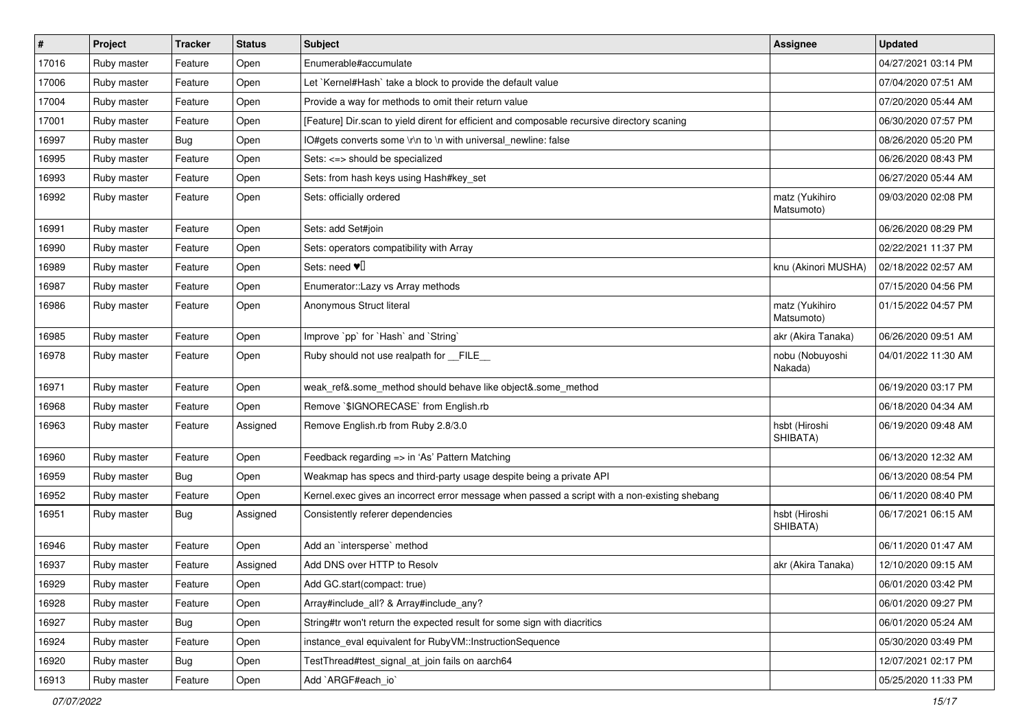| $\vert$ # | Project     | <b>Tracker</b> | <b>Status</b> | Subject                                                                                       | Assignee                     | <b>Updated</b>      |
|-----------|-------------|----------------|---------------|-----------------------------------------------------------------------------------------------|------------------------------|---------------------|
| 17016     | Ruby master | Feature        | Open          | Enumerable#accumulate                                                                         |                              | 04/27/2021 03:14 PM |
| 17006     | Ruby master | Feature        | Open          | Let `Kernel#Hash` take a block to provide the default value                                   |                              | 07/04/2020 07:51 AM |
| 17004     | Ruby master | Feature        | Open          | Provide a way for methods to omit their return value                                          |                              | 07/20/2020 05:44 AM |
| 17001     | Ruby master | Feature        | Open          | [Feature] Dir.scan to yield dirent for efficient and composable recursive directory scaning   |                              | 06/30/2020 07:57 PM |
| 16997     | Ruby master | <b>Bug</b>     | Open          | IO#gets converts some \r\n to \n with universal_newline: false                                |                              | 08/26/2020 05:20 PM |
| 16995     | Ruby master | Feature        | Open          | Sets: <=> should be specialized                                                               |                              | 06/26/2020 08:43 PM |
| 16993     | Ruby master | Feature        | Open          | Sets: from hash keys using Hash#key_set                                                       |                              | 06/27/2020 05:44 AM |
| 16992     | Ruby master | Feature        | Open          | Sets: officially ordered                                                                      | matz (Yukihiro<br>Matsumoto) | 09/03/2020 02:08 PM |
| 16991     | Ruby master | Feature        | Open          | Sets: add Set#join                                                                            |                              | 06/26/2020 08:29 PM |
| 16990     | Ruby master | Feature        | Open          | Sets: operators compatibility with Array                                                      |                              | 02/22/2021 11:37 PM |
| 16989     | Ruby master | Feature        | Open          | Sets: need $\Psi$                                                                             | knu (Akinori MUSHA)          | 02/18/2022 02:57 AM |
| 16987     | Ruby master | Feature        | Open          | Enumerator::Lazy vs Array methods                                                             |                              | 07/15/2020 04:56 PM |
| 16986     | Ruby master | Feature        | Open          | Anonymous Struct literal                                                                      | matz (Yukihiro<br>Matsumoto) | 01/15/2022 04:57 PM |
| 16985     | Ruby master | Feature        | Open          | Improve `pp` for `Hash` and `String`                                                          | akr (Akira Tanaka)           | 06/26/2020 09:51 AM |
| 16978     | Ruby master | Feature        | Open          | Ruby should not use realpath for __FILE_                                                      | nobu (Nobuyoshi<br>Nakada)   | 04/01/2022 11:30 AM |
| 16971     | Ruby master | Feature        | Open          | weak_ref&.some_method should behave like object&.some_method                                  |                              | 06/19/2020 03:17 PM |
| 16968     | Ruby master | Feature        | Open          | Remove `\$IGNORECASE` from English.rb                                                         |                              | 06/18/2020 04:34 AM |
| 16963     | Ruby master | Feature        | Assigned      | Remove English.rb from Ruby 2.8/3.0                                                           | hsbt (Hiroshi<br>SHIBATA)    | 06/19/2020 09:48 AM |
| 16960     | Ruby master | Feature        | Open          | Feedback regarding => in 'As' Pattern Matching                                                |                              | 06/13/2020 12:32 AM |
| 16959     | Ruby master | <b>Bug</b>     | Open          | Weakmap has specs and third-party usage despite being a private API                           |                              | 06/13/2020 08:54 PM |
| 16952     | Ruby master | Feature        | Open          | Kernel.exec gives an incorrect error message when passed a script with a non-existing shebang |                              | 06/11/2020 08:40 PM |
| 16951     | Ruby master | <b>Bug</b>     | Assigned      | Consistently referer dependencies                                                             | hsbt (Hiroshi<br>SHIBATA)    | 06/17/2021 06:15 AM |
| 16946     | Ruby master | Feature        | Open          | Add an `intersperse` method                                                                   |                              | 06/11/2020 01:47 AM |
| 16937     | Ruby master | Feature        | Assigned      | Add DNS over HTTP to Resolv                                                                   | akr (Akira Tanaka)           | 12/10/2020 09:15 AM |
| 16929     | Ruby master | Feature        | Open          | Add GC.start(compact: true)                                                                   |                              | 06/01/2020 03:42 PM |
| 16928     | Ruby master | Feature        | Open          | Array#include_all? & Array#include_any?                                                       |                              | 06/01/2020 09:27 PM |
| 16927     | Ruby master | Bug            | Open          | String#tr won't return the expected result for some sign with diacritics                      |                              | 06/01/2020 05:24 AM |
| 16924     | Ruby master | Feature        | Open          | instance_eval equivalent for RubyVM::InstructionSequence                                      |                              | 05/30/2020 03:49 PM |
| 16920     | Ruby master | <b>Bug</b>     | Open          | TestThread#test signal at join fails on aarch64                                               |                              | 12/07/2021 02:17 PM |
| 16913     | Ruby master | Feature        | Open          | Add `ARGF#each_io`                                                                            |                              | 05/25/2020 11:33 PM |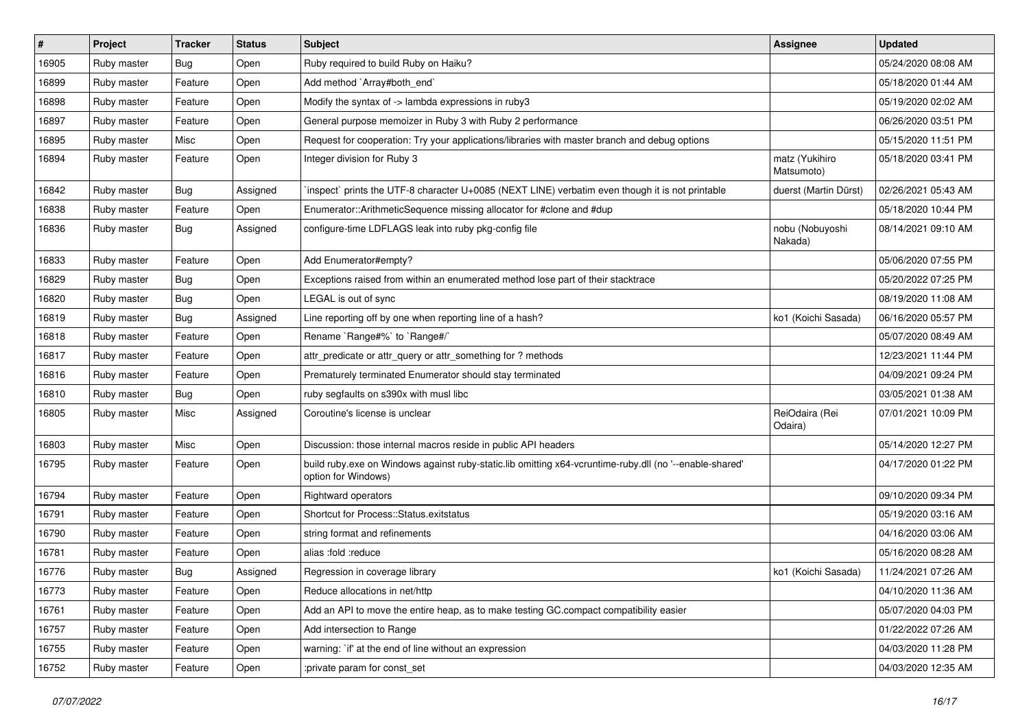| $\vert$ # | Project     | <b>Tracker</b> | <b>Status</b> | Subject                                                                                                                        | <b>Assignee</b>              | <b>Updated</b>      |
|-----------|-------------|----------------|---------------|--------------------------------------------------------------------------------------------------------------------------------|------------------------------|---------------------|
| 16905     | Ruby master | Bug            | Open          | Ruby required to build Ruby on Haiku?                                                                                          |                              | 05/24/2020 08:08 AM |
| 16899     | Ruby master | Feature        | Open          | Add method `Array#both_end`                                                                                                    |                              | 05/18/2020 01:44 AM |
| 16898     | Ruby master | Feature        | Open          | Modify the syntax of -> lambda expressions in ruby3                                                                            |                              | 05/19/2020 02:02 AM |
| 16897     | Ruby master | Feature        | Open          | General purpose memoizer in Ruby 3 with Ruby 2 performance                                                                     |                              | 06/26/2020 03:51 PM |
| 16895     | Ruby master | Misc           | Open          | Request for cooperation: Try your applications/libraries with master branch and debug options                                  |                              | 05/15/2020 11:51 PM |
| 16894     | Ruby master | Feature        | Open          | Integer division for Ruby 3                                                                                                    | matz (Yukihiro<br>Matsumoto) | 05/18/2020 03:41 PM |
| 16842     | Ruby master | Bug            | Assigned      | inspect` prints the UTF-8 character U+0085 (NEXT LINE) verbatim even though it is not printable                                | duerst (Martin Dürst)        | 02/26/2021 05:43 AM |
| 16838     | Ruby master | Feature        | Open          | Enumerator::ArithmeticSequence missing allocator for #clone and #dup                                                           |                              | 05/18/2020 10:44 PM |
| 16836     | Ruby master | Bug            | Assigned      | configure-time LDFLAGS leak into ruby pkg-config file                                                                          | nobu (Nobuyoshi<br>Nakada)   | 08/14/2021 09:10 AM |
| 16833     | Ruby master | Feature        | Open          | Add Enumerator#empty?                                                                                                          |                              | 05/06/2020 07:55 PM |
| 16829     | Ruby master | Bug            | Open          | Exceptions raised from within an enumerated method lose part of their stacktrace                                               |                              | 05/20/2022 07:25 PM |
| 16820     | Ruby master | <b>Bug</b>     | Open          | LEGAL is out of sync                                                                                                           |                              | 08/19/2020 11:08 AM |
| 16819     | Ruby master | <b>Bug</b>     | Assigned      | Line reporting off by one when reporting line of a hash?                                                                       | ko1 (Koichi Sasada)          | 06/16/2020 05:57 PM |
| 16818     | Ruby master | Feature        | Open          | Rename `Range#%` to `Range#/`                                                                                                  |                              | 05/07/2020 08:49 AM |
| 16817     | Ruby master | Feature        | Open          | attr_predicate or attr_query or attr_something for ? methods                                                                   |                              | 12/23/2021 11:44 PM |
| 16816     | Ruby master | Feature        | Open          | Prematurely terminated Enumerator should stay terminated                                                                       |                              | 04/09/2021 09:24 PM |
| 16810     | Ruby master | <b>Bug</b>     | Open          | ruby segfaults on s390x with musl libc                                                                                         |                              | 03/05/2021 01:38 AM |
| 16805     | Ruby master | Misc           | Assigned      | Coroutine's license is unclear                                                                                                 | ReiOdaira (Rei<br>Odaira)    | 07/01/2021 10:09 PM |
| 16803     | Ruby master | Misc           | Open          | Discussion: those internal macros reside in public API headers                                                                 |                              | 05/14/2020 12:27 PM |
| 16795     | Ruby master | Feature        | Open          | build ruby.exe on Windows against ruby-static.lib omitting x64-vcruntime-ruby.dll (no '--enable-shared'<br>option for Windows) |                              | 04/17/2020 01:22 PM |
| 16794     | Ruby master | Feature        | Open          | Rightward operators                                                                                                            |                              | 09/10/2020 09:34 PM |
| 16791     | Ruby master | Feature        | Open          | Shortcut for Process::Status.exitstatus                                                                                        |                              | 05/19/2020 03:16 AM |
| 16790     | Ruby master | Feature        | Open          | string format and refinements                                                                                                  |                              | 04/16/2020 03:06 AM |
| 16781     | Ruby master | Feature        | Open          | alias :fold :reduce                                                                                                            |                              | 05/16/2020 08:28 AM |
| 16776     | Ruby master | <b>Bug</b>     | Assigned      | Regression in coverage library                                                                                                 | ko1 (Koichi Sasada)          | 11/24/2021 07:26 AM |
| 16773     | Ruby master | Feature        | Open          | Reduce allocations in net/http                                                                                                 |                              | 04/10/2020 11:36 AM |
| 16761     | Ruby master | Feature        | Open          | Add an API to move the entire heap, as to make testing GC.compact compatibility easier                                         |                              | 05/07/2020 04:03 PM |
| 16757     | Ruby master | Feature        | Open          | Add intersection to Range                                                                                                      |                              | 01/22/2022 07:26 AM |
| 16755     | Ruby master | Feature        | Open          | warning: `if' at the end of line without an expression                                                                         |                              | 04/03/2020 11:28 PM |
| 16752     | Ruby master | Feature        | Open          | :private param for const_set                                                                                                   |                              | 04/03/2020 12:35 AM |